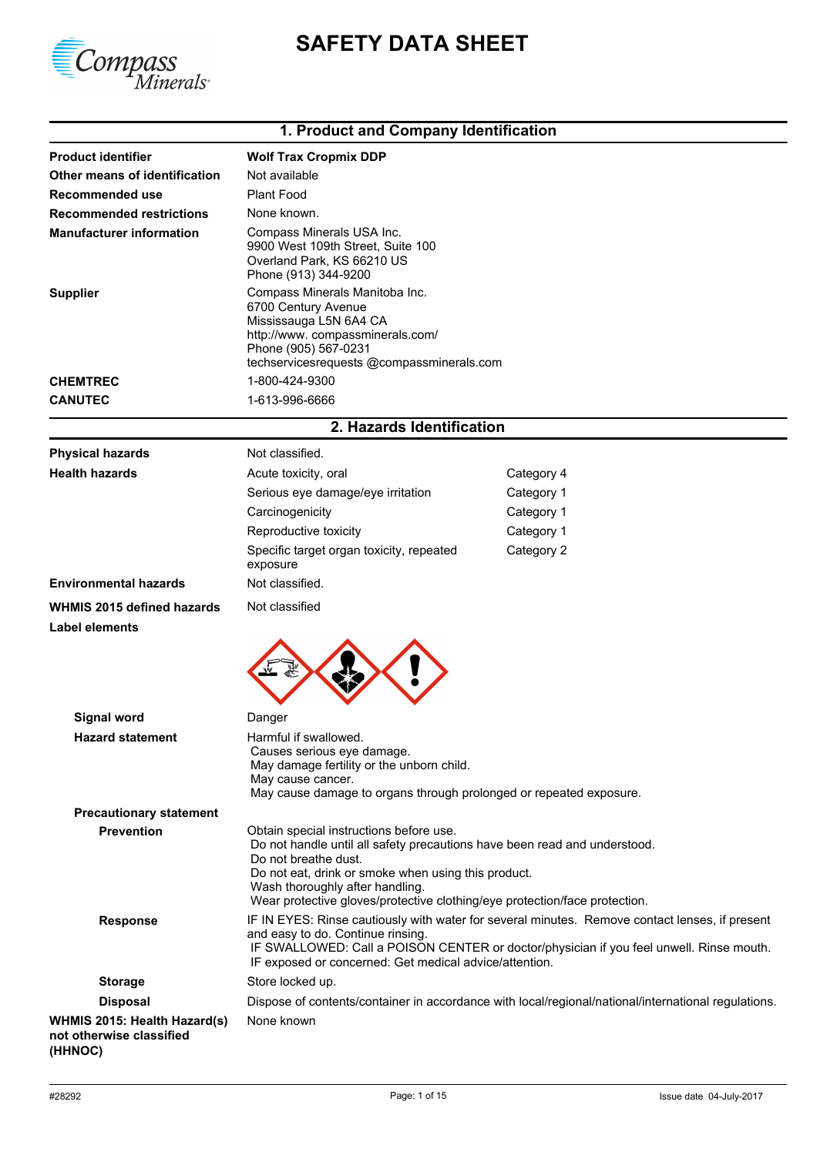



# **1. Product and Company Identification**

| <b>Product identifier</b>       | <b>Wolf Trax Cropmix DDP</b>                                                                                                                                                            |
|---------------------------------|-----------------------------------------------------------------------------------------------------------------------------------------------------------------------------------------|
| Other means of identification   | Not available                                                                                                                                                                           |
| Recommended use                 | Plant Food                                                                                                                                                                              |
| <b>Recommended restrictions</b> | None known.                                                                                                                                                                             |
| <b>Manufacturer information</b> | Compass Minerals USA Inc.<br>9900 West 109th Street, Suite 100<br>Overland Park, KS 66210 US<br>Phone (913) 344-9200                                                                    |
| <b>Supplier</b>                 | Compass Minerals Manitoba Inc.<br>6700 Century Avenue<br>Mississauga L5N 6A4 CA<br>http://www.compassminerals.com/<br>Phone (905) 567-0231<br>techservicesrequests @compassminerals.com |
| <b>CHEMTREC</b>                 | 1-800-424-9300                                                                                                                                                                          |
| <b>CANUTEC</b>                  | 1-613-996-6666                                                                                                                                                                          |

## **2. Hazards Identification**

| <b>Physical hazards</b>                                             | Not classified.                                                                                                                                                                                                                                                                                                      |                                                                                                                                                                                           |
|---------------------------------------------------------------------|----------------------------------------------------------------------------------------------------------------------------------------------------------------------------------------------------------------------------------------------------------------------------------------------------------------------|-------------------------------------------------------------------------------------------------------------------------------------------------------------------------------------------|
| <b>Health hazards</b>                                               | Acute toxicity, oral                                                                                                                                                                                                                                                                                                 | Category 4                                                                                                                                                                                |
|                                                                     | Serious eye damage/eye irritation                                                                                                                                                                                                                                                                                    | Category 1                                                                                                                                                                                |
|                                                                     | Carcinogenicity                                                                                                                                                                                                                                                                                                      | Category 1                                                                                                                                                                                |
|                                                                     | Reproductive toxicity                                                                                                                                                                                                                                                                                                | Category 1                                                                                                                                                                                |
|                                                                     | Specific target organ toxicity, repeated<br>exposure                                                                                                                                                                                                                                                                 | Category 2                                                                                                                                                                                |
| <b>Environmental hazards</b>                                        | Not classified.                                                                                                                                                                                                                                                                                                      |                                                                                                                                                                                           |
| WHMIS 2015 defined hazards                                          | Not classified                                                                                                                                                                                                                                                                                                       |                                                                                                                                                                                           |
| <b>Label elements</b>                                               |                                                                                                                                                                                                                                                                                                                      |                                                                                                                                                                                           |
|                                                                     |                                                                                                                                                                                                                                                                                                                      |                                                                                                                                                                                           |
| <b>Signal word</b>                                                  | Danger                                                                                                                                                                                                                                                                                                               |                                                                                                                                                                                           |
| <b>Hazard statement</b>                                             | Harmful if swallowed.<br>Causes serious eye damage.<br>May damage fertility or the unborn child.<br>May cause cancer.<br>May cause damage to organs through prolonged or repeated exposure.                                                                                                                          |                                                                                                                                                                                           |
| <b>Precautionary statement</b>                                      |                                                                                                                                                                                                                                                                                                                      |                                                                                                                                                                                           |
| <b>Prevention</b>                                                   | Obtain special instructions before use.<br>Do not handle until all safety precautions have been read and understood.<br>Do not breathe dust.<br>Do not eat, drink or smoke when using this product.<br>Wash thoroughly after handling.<br>Wear protective gloves/protective clothing/eye protection/face protection. |                                                                                                                                                                                           |
| <b>Response</b>                                                     | and easy to do. Continue rinsing.<br>IF exposed or concerned: Get medical advice/attention.                                                                                                                                                                                                                          | IF IN EYES: Rinse cautiously with water for several minutes. Remove contact lenses, if present<br>IF SWALLOWED: Call a POISON CENTER or doctor/physician if you feel unwell. Rinse mouth. |
| <b>Storage</b>                                                      | Store locked up.                                                                                                                                                                                                                                                                                                     |                                                                                                                                                                                           |
| <b>Disposal</b>                                                     |                                                                                                                                                                                                                                                                                                                      | Dispose of contents/container in accordance with local/regional/national/international regulations.                                                                                       |
| WHMIS 2015: Health Hazard(s)<br>not otherwise classified<br>(HHNOC) | None known                                                                                                                                                                                                                                                                                                           |                                                                                                                                                                                           |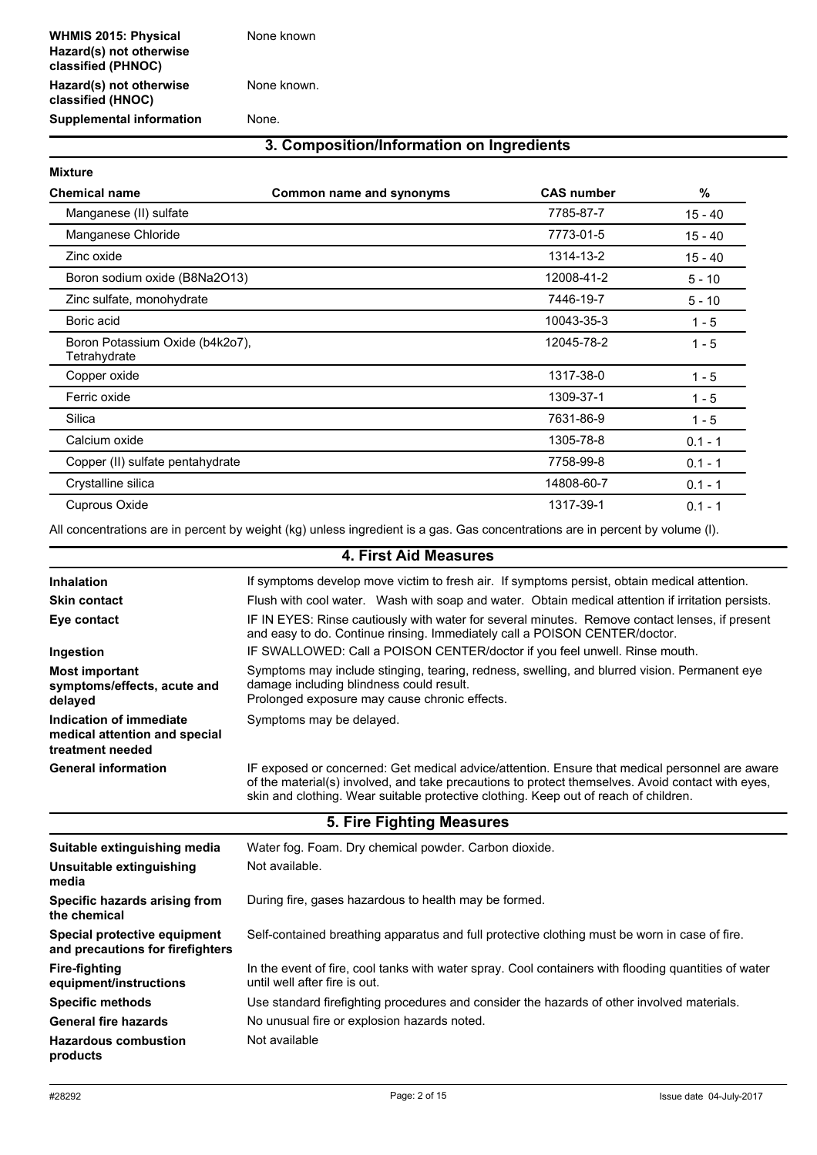**Hazard(s) not otherwise classified (HNOC)**

None known.

**Supplemental information** None.

### **3. Composition/Information on Ingredients**

| <b>Mixture</b>                                  |                          |                   |           |
|-------------------------------------------------|--------------------------|-------------------|-----------|
| <b>Chemical name</b>                            | Common name and synonyms | <b>CAS number</b> | %         |
| Manganese (II) sulfate                          |                          | 7785-87-7         | $15 - 40$ |
| Manganese Chloride                              |                          | 7773-01-5         | $15 - 40$ |
| Zinc oxide                                      |                          | 1314-13-2         | $15 - 40$ |
| Boron sodium oxide (B8Na2O13)                   |                          | 12008-41-2        | $5 - 10$  |
| Zinc sulfate, monohydrate                       |                          | 7446-19-7         | $5 - 10$  |
| Boric acid                                      |                          | 10043-35-3        | $1 - 5$   |
| Boron Potassium Oxide (b4k2o7),<br>Tetrahydrate |                          | 12045-78-2        | $1 - 5$   |
| Copper oxide                                    |                          | 1317-38-0         | $1 - 5$   |
| Ferric oxide                                    |                          | 1309-37-1         | $1 - 5$   |
| Silica                                          |                          | 7631-86-9         | $1 - 5$   |
| Calcium oxide                                   |                          | 1305-78-8         | $0.1 - 1$ |
| Copper (II) sulfate pentahydrate                |                          | 7758-99-8         | $0.1 - 1$ |
| Crystalline silica                              |                          | 14808-60-7        | $0.1 - 1$ |
| <b>Cuprous Oxide</b>                            |                          | 1317-39-1         | $0.1 - 1$ |

All concentrations are in percent by weight (kg) unless ingredient is a gas. Gas concentrations are in percent by volume (l).

|                                                                              | 4. First Aid Measures                                                                                                                                                                                                                                                                       |
|------------------------------------------------------------------------------|---------------------------------------------------------------------------------------------------------------------------------------------------------------------------------------------------------------------------------------------------------------------------------------------|
| Inhalation                                                                   | If symptoms develop move victim to fresh air. If symptoms persist, obtain medical attention.                                                                                                                                                                                                |
| <b>Skin contact</b>                                                          | Flush with cool water. Wash with soap and water. Obtain medical attention if irritation persists.                                                                                                                                                                                           |
| Eye contact                                                                  | IF IN EYES: Rinse cautiously with water for several minutes. Remove contact lenses, if present<br>and easy to do. Continue rinsing. Immediately call a POISON CENTER/doctor.                                                                                                                |
| Ingestion                                                                    | IF SWALLOWED: Call a POISON CENTER/doctor if you feel unwell. Rinse mouth.                                                                                                                                                                                                                  |
| <b>Most important</b><br>symptoms/effects, acute and<br>delayed              | Symptoms may include stinging, tearing, redness, swelling, and blurred vision. Permanent eye<br>damage including blindness could result.<br>Prolonged exposure may cause chronic effects.                                                                                                   |
| Indication of immediate<br>medical attention and special<br>treatment needed | Symptoms may be delayed.                                                                                                                                                                                                                                                                    |
| <b>General information</b>                                                   | IF exposed or concerned: Get medical advice/attention. Ensure that medical personnel are aware<br>of the material(s) involved, and take precautions to protect themselves. Avoid contact with eyes,<br>skin and clothing. Wear suitable protective clothing. Keep out of reach of children. |
|                                                                              | 5. Fire Fighting Measures                                                                                                                                                                                                                                                                   |
| Suitable extinguishing media                                                 | Water fog. Foam. Dry chemical powder. Carbon dioxide.                                                                                                                                                                                                                                       |
| Unsuitable extinguishing<br>media                                            | Not available.                                                                                                                                                                                                                                                                              |
| Specific hazards arising from<br>the chemical                                | During fire, gases hazardous to health may be formed.                                                                                                                                                                                                                                       |
| Special protective equipment<br>and precautions for firefighters             | Self-contained breathing apparatus and full protective clothing must be worn in case of fire.                                                                                                                                                                                               |
| <b>Fire-fighting</b><br>equipment/instructions                               | In the event of fire, cool tanks with water spray. Cool containers with flooding quantities of water<br>until well after fire is out.                                                                                                                                                       |
| <b>Specific methods</b>                                                      | Use standard firefighting procedures and consider the hazards of other involved materials.                                                                                                                                                                                                  |
| <b>General fire hazards</b>                                                  | No unusual fire or explosion hazards noted.                                                                                                                                                                                                                                                 |
| <b>Hazardous combustion</b><br>products                                      | Not available                                                                                                                                                                                                                                                                               |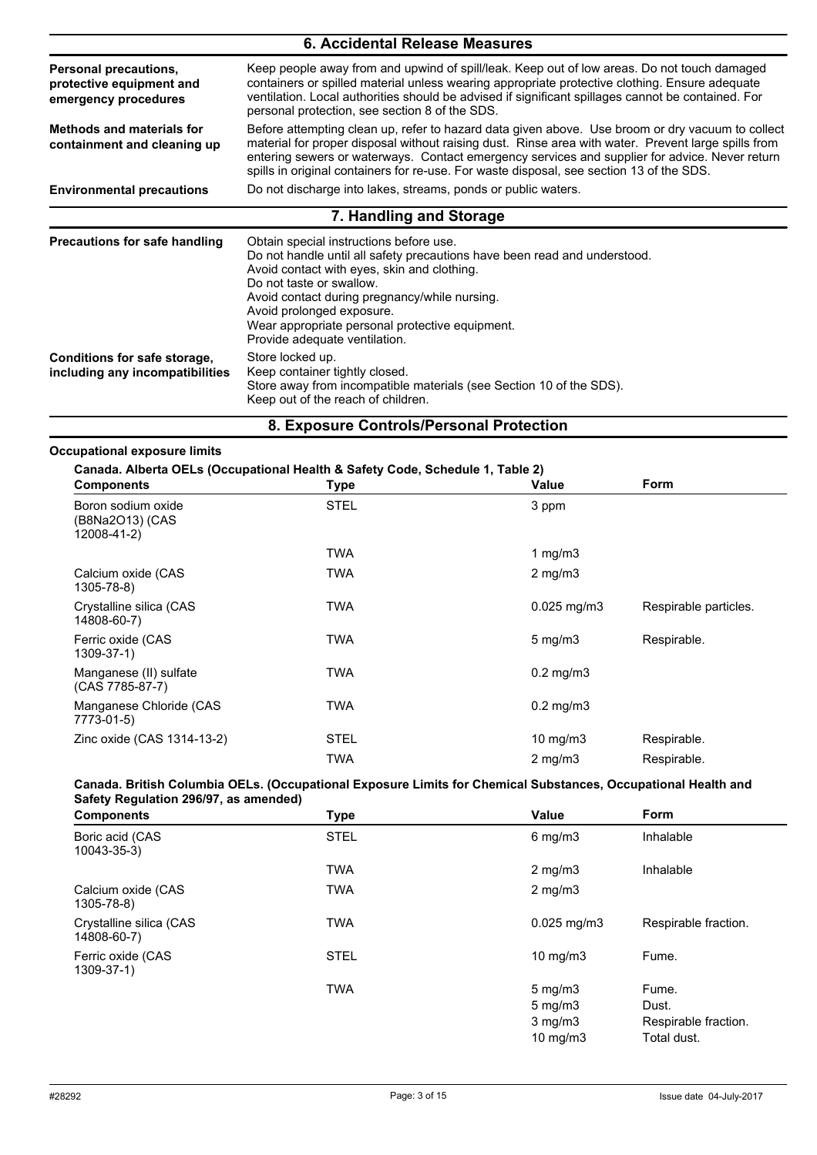| 6. Accidental Release Measures                                                   |                                                                                                                                                                                                                                                                                                                                                                                                       |  |  |
|----------------------------------------------------------------------------------|-------------------------------------------------------------------------------------------------------------------------------------------------------------------------------------------------------------------------------------------------------------------------------------------------------------------------------------------------------------------------------------------------------|--|--|
| <b>Personal precautions,</b><br>protective equipment and<br>emergency procedures | Keep people away from and upwind of spill/leak. Keep out of low areas. Do not touch damaged<br>containers or spilled material unless wearing appropriate protective clothing. Ensure adequate<br>ventilation. Local authorities should be advised if significant spillages cannot be contained. For<br>personal protection, see section 8 of the SDS.                                                 |  |  |
| <b>Methods and materials for</b><br>containment and cleaning up                  | Before attempting clean up, refer to hazard data given above. Use broom or dry vacuum to collect<br>material for proper disposal without raising dust. Rinse area with water. Prevent large spills from<br>entering sewers or waterways. Contact emergency services and supplier for advice. Never return<br>spills in original containers for re-use. For waste disposal, see section 13 of the SDS. |  |  |
| <b>Environmental precautions</b>                                                 | Do not discharge into lakes, streams, ponds or public waters.                                                                                                                                                                                                                                                                                                                                         |  |  |
|                                                                                  | 7. Handling and Storage                                                                                                                                                                                                                                                                                                                                                                               |  |  |
| <b>Precautions for safe handling</b>                                             | Obtain special instructions before use.<br>Do not handle until all safety precautions have been read and understood.<br>Avoid contact with eyes, skin and clothing.<br>Do not taste or swallow.<br>Avoid contact during pregnancy/while nursing.<br>Avoid prolonged exposure.<br>Wear appropriate personal protective equipment.<br>Provide adequate ventilation.                                     |  |  |
| Conditions for safe storage,<br>including any incompatibilities                  | Store locked up.<br>Keep container tightly closed.<br>Store away from incompatible materials (see Section 10 of the SDS).<br>Keep out of the reach of children.                                                                                                                                                                                                                                       |  |  |

#### **8. Exposure Controls/Personal Protection**

#### **Occupational exposure limits**

**Canada. Alberta OELs (Occupational Health & Safety Code, Schedule 1, Table 2)**

| <b>Components</b>                                    | .<br><b>Type</b> | Value                | Form                  |
|------------------------------------------------------|------------------|----------------------|-----------------------|
| Boron sodium oxide<br>(B8Na2O13) (CAS<br>12008-41-2) | <b>STEL</b>      | 3 ppm                |                       |
|                                                      | <b>TWA</b>       | 1 mg/m $3$           |                       |
| Calcium oxide (CAS<br>1305-78-8)                     | TWA              | $2$ mg/m $3$         |                       |
| Crystalline silica (CAS<br>14808-60-7)               | <b>TWA</b>       | $0.025$ mg/m $3$     | Respirable particles. |
| Ferric oxide (CAS<br>1309-37-1)                      | <b>TWA</b>       | $5 \text{ mg/m}$     | Respirable.           |
| Manganese (II) sulfate<br>(CAS 7785-87-7)            | <b>TWA</b>       | $0.2$ mg/m $3$       |                       |
| Manganese Chloride (CAS<br>7773-01-5)                | <b>TWA</b>       | $0.2 \text{ mg/m}$ 3 |                       |
| Zinc oxide (CAS 1314-13-2)                           | <b>STEL</b>      | $10$ mg/m $3$        | Respirable.           |
|                                                      | <b>TWA</b>       | $2 \text{ mg/m}$     | Respirable.           |

#### **Canada. British Columbia OELs. (Occupational Exposure Limits for Chemical Substances, Occupational Health and Safety Regulation 296/97, as amended)**

| <b>Components</b>                      | <b>Type</b> | <b>Value</b>      | <b>Form</b>          |
|----------------------------------------|-------------|-------------------|----------------------|
| Boric acid (CAS<br>$10043 - 35 - 3$    | <b>STEL</b> | $6$ mg/m $3$      | Inhalable            |
|                                        | <b>TWA</b>  | $2 \text{ mg/m}$  | Inhalable            |
| Calcium oxide (CAS<br>1305-78-8)       | <b>TWA</b>  | $2 \text{ mg/m}$  |                      |
| Crystalline silica (CAS<br>14808-60-7) | <b>TWA</b>  | $0.025$ mg/m $3$  | Respirable fraction. |
| Ferric oxide (CAS<br>$1309 - 37 - 1$   | <b>STEL</b> | $10 \text{ mg/m}$ | Fume.                |
|                                        | <b>TWA</b>  | $5 \text{ mg/m}$  | Fume.                |
|                                        |             | $5 \text{ mg/m}$  | Dust.                |
|                                        |             | $3$ mg/m $3$      | Respirable fraction. |
|                                        |             | $10 \text{ mg/m}$ | Total dust.          |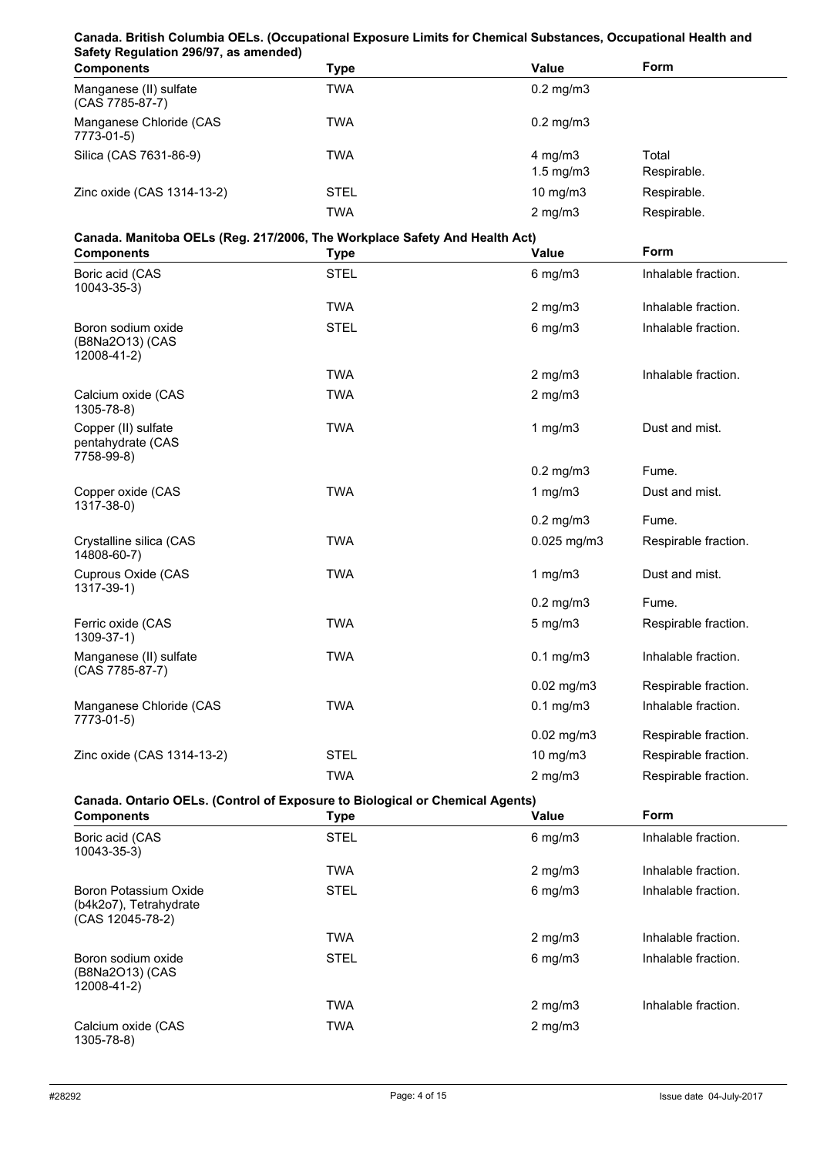#### **Canada. British Columbia OELs. (Occupational Exposure Limits for Chemical Substances, Occupational Health and Safety Regulation 296/97, as amended)**

| <b>Components</b>                         | Type        | Value                                      | Form                 |
|-------------------------------------------|-------------|--------------------------------------------|----------------------|
| Manganese (II) sulfate<br>(CAS 7785-87-7) | TWA         | $0.2 \text{ mg/m}$ 3                       |                      |
| Manganese Chloride (CAS<br>7773-01-5)     | TWA         | $0.2 \text{ mg/m}$ 3                       |                      |
| Silica (CAS 7631-86-9)                    | TWA         | $4 \text{ mg/m}$ 3<br>$1.5 \text{ mg/m}$ 3 | Total<br>Respirable. |
| Zinc oxide (CAS 1314-13-2)                | <b>STEL</b> | $10 \text{ mg/m}$                          | Respirable.          |
|                                           | TWA         | $2 \text{ mg/m}$                           | Respirable.          |

# **Canada. Manitoba OELs (Reg. 217/2006, The Workplace Safety And Health Act)**

| Canada. Manitoba OELS (Reg. 21//2006, The Workplace Safety And Health Act)<br><b>Components</b> | <b>Type</b> | <b>Value</b>    | Form                 |
|-------------------------------------------------------------------------------------------------|-------------|-----------------|----------------------|
| Boric acid (CAS<br>10043-35-3)                                                                  | <b>STEL</b> | $6$ mg/m $3$    | Inhalable fraction.  |
|                                                                                                 | <b>TWA</b>  | $2$ mg/m $3$    | Inhalable fraction.  |
| Boron sodium oxide<br>(B8Na2O13) (CAS<br>12008-41-2)                                            | <b>STEL</b> | $6$ mg/m $3$    | Inhalable fraction.  |
|                                                                                                 | <b>TWA</b>  | $2$ mg/m $3$    | Inhalable fraction.  |
| Calcium oxide (CAS<br>$1305 - 78 - 8$                                                           | <b>TWA</b>  | $2$ mg/m $3$    |                      |
| Copper (II) sulfate<br>pentahydrate (CAS<br>7758-99-8)                                          | <b>TWA</b>  | 1 $mg/m3$       | Dust and mist.       |
|                                                                                                 |             | $0.2$ mg/m $3$  | Fume.                |
| Copper oxide (CAS<br>1317-38-0)                                                                 | <b>TWA</b>  | 1 $mg/m3$       | Dust and mist.       |
|                                                                                                 |             | $0.2$ mg/m $3$  | Fume.                |
| Crystalline silica (CAS<br>14808-60-7)                                                          | <b>TWA</b>  | $0.025$ mg/m3   | Respirable fraction. |
| Cuprous Oxide (CAS<br>1317-39-1)                                                                | <b>TWA</b>  | 1 $mg/m3$       | Dust and mist.       |
|                                                                                                 |             | $0.2$ mg/m $3$  | Fume.                |
| Ferric oxide (CAS<br>1309-37-1)                                                                 | <b>TWA</b>  | $5$ mg/m $3$    | Respirable fraction. |
| Manganese (II) sulfate<br>(CAS 7785-87-7)                                                       | <b>TWA</b>  | $0.1$ mg/m $3$  | Inhalable fraction.  |
|                                                                                                 |             | $0.02$ mg/m $3$ | Respirable fraction. |
| Manganese Chloride (CAS<br>7773-01-5)                                                           | <b>TWA</b>  | $0.1$ mg/m $3$  | Inhalable fraction.  |
|                                                                                                 |             | $0.02$ mg/m $3$ | Respirable fraction. |
| Zinc oxide (CAS 1314-13-2)                                                                      | <b>STEL</b> | 10 mg/m3        | Respirable fraction. |
|                                                                                                 | <b>TWA</b>  | $2$ mg/m $3$    | Respirable fraction. |

#### **Canada. Ontario OELs. (Control of Exposure to Biological or Chemical Agents)**

| <b>Components</b>                                                   | <b>Type</b> | <b>Value</b>     | <b>Form</b>         |
|---------------------------------------------------------------------|-------------|------------------|---------------------|
| Boric acid (CAS<br>10043-35-3)                                      | <b>STEL</b> | $6$ mg/m $3$     | Inhalable fraction. |
|                                                                     | <b>TWA</b>  | $2 \text{ mg/m}$ | Inhalable fraction. |
| Boron Potassium Oxide<br>(b4k2o7), Tetrahydrate<br>(CAS 12045-78-2) | <b>STEL</b> | $6$ mg/m $3$     | Inhalable fraction. |
|                                                                     | <b>TWA</b>  | $2 \text{ mg/m}$ | Inhalable fraction. |
| Boron sodium oxide<br>(B8Na2O13) (CAS<br>12008-41-2)                | <b>STEL</b> | $6$ mg/m $3$     | Inhalable fraction. |
|                                                                     | <b>TWA</b>  | $2 \text{ mg/m}$ | Inhalable fraction. |
| Calcium oxide (CAS<br>1305-78-8)                                    | <b>TWA</b>  | $2 \text{ mg/m}$ |                     |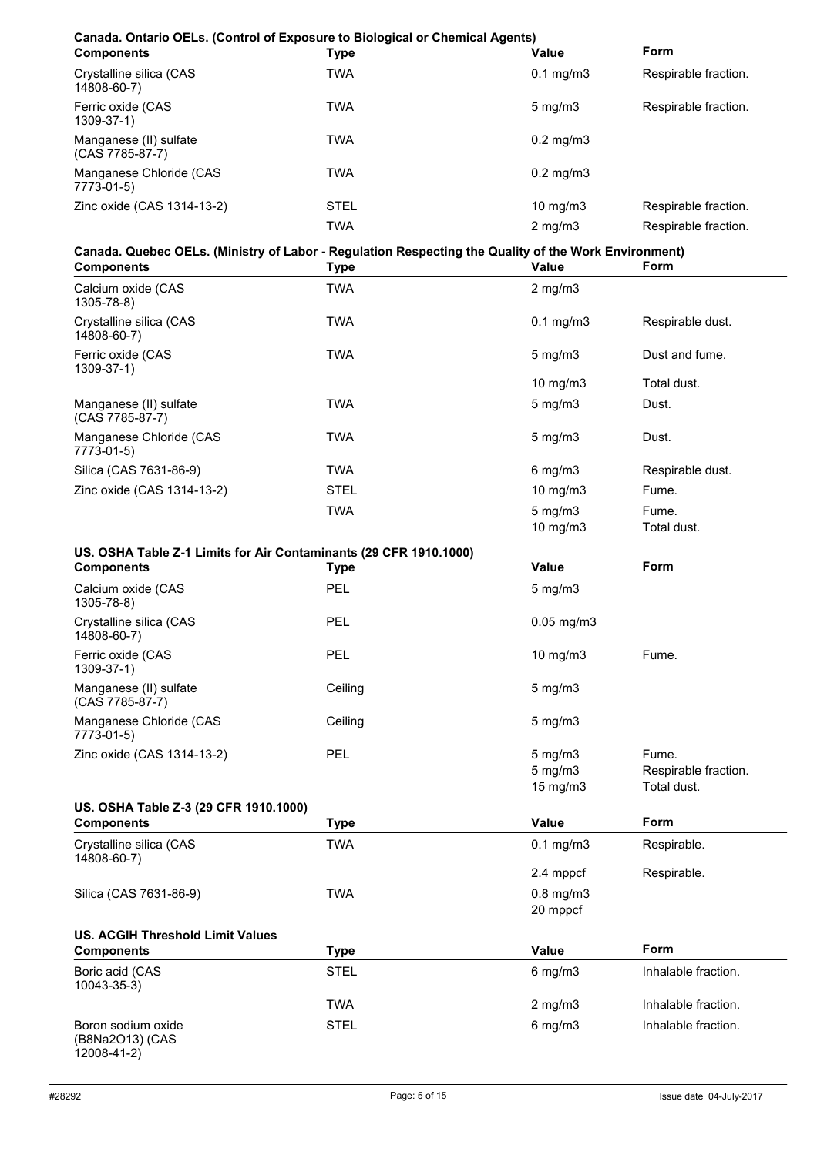# **Canada. Ontario OELs. (Control of Exposure to Biological or Chemical Agents)**

| <b>Components</b>                         | Type | <b>Value</b>         | <b>Form</b>          |
|-------------------------------------------|------|----------------------|----------------------|
| Crystalline silica (CAS<br>14808-60-7)    | TWA  | $0.1 \text{ mg/m}$ 3 | Respirable fraction. |
| Ferric oxide (CAS<br>$1309 - 37 - 1$      | TWA  | $5 \text{ mg/m}$     | Respirable fraction. |
| Manganese (II) sulfate<br>(CAS 7785-87-7) | TWA  | $0.2 \text{ mg/m}$ 3 |                      |
| Manganese Chloride (CAS<br>7773-01-5)     | TWA  | $0.2 \text{ mg/m}$ 3 |                      |
| Zinc oxide (CAS 1314-13-2)                | STEL | $10 \text{ mg/m}$    | Respirable fraction. |
|                                           | TWA  | $2 \text{ mg/m}$     | Respirable fraction. |

#### **Canada. Quebec OELs. (Ministry of Labor - Regulation Respecting the Quality of the Work Environment)**

| <b>Components</b>                         | <b>Type</b> | Value                                 | <b>Form</b>          |
|-------------------------------------------|-------------|---------------------------------------|----------------------|
| Calcium oxide (CAS<br>1305-78-8)          | <b>TWA</b>  | $2 \text{ mg/m}$                      |                      |
| Crystalline silica (CAS<br>14808-60-7)    | <b>TWA</b>  | $0.1$ mg/m $3$                        | Respirable dust.     |
| Ferric oxide (CAS<br>$1309 - 37 - 1$      | <b>TWA</b>  | $5 \text{ mg/m}$                      | Dust and fume.       |
|                                           |             | 10 mg/m $3$                           | Total dust.          |
| Manganese (II) sulfate<br>(CAS 7785-87-7) | <b>TWA</b>  | $5 \text{ mg/m}$                      | Dust.                |
| Manganese Chloride (CAS<br>7773-01-5)     | <b>TWA</b>  | $5 \text{ mg/m}$                      | Dust.                |
| Silica (CAS 7631-86-9)                    | <b>TWA</b>  | $6$ mg/m $3$                          | Respirable dust.     |
| Zinc oxide (CAS 1314-13-2)                | <b>STEL</b> | 10 mg/m $3$                           | Fume.                |
|                                           | <b>TWA</b>  | $5 \text{ mg/m}$<br>$10 \text{ mg/m}$ | Fume.<br>Total dust. |

#### **US. OSHA Table Z-1 Limits for Air Contaminants (29 CFR 1910.1000)**

| <b>Components</b>                                    | <b>Type</b> | <b>Value</b>               | Form                 |
|------------------------------------------------------|-------------|----------------------------|----------------------|
| Calcium oxide (CAS<br>1305-78-8)                     | <b>PEL</b>  | $5$ mg/m $3$               |                      |
| Crystalline silica (CAS<br>14808-60-7)               | PEL         | $0.05$ mg/m $3$            |                      |
| Ferric oxide (CAS<br>1309-37-1)                      | PEL         | 10 mg/m3                   | Fume.                |
| Manganese (II) sulfate<br>(CAS 7785-87-7)            | Ceiling     | $5 \text{ mg/m}$           |                      |
| Manganese Chloride (CAS<br>7773-01-5)                | Ceiling     | $5$ mg/m $3$               |                      |
| Zinc oxide (CAS 1314-13-2)                           | PEL         | $5 \text{ mg/m}$           | Fume.                |
|                                                      |             | $5$ mg/m $3$               | Respirable fraction. |
|                                                      |             | 15 mg/m3                   | Total dust.          |
| US. OSHA Table Z-3 (29 CFR 1910.1000)                |             |                            |                      |
| <b>Components</b>                                    | <b>Type</b> | <b>Value</b>               | Form                 |
| Crystalline silica (CAS<br>14808-60-7)               | TWA         | $0.1$ mg/m $3$             | Respirable.          |
|                                                      |             | 2.4 mppcf                  | Respirable.          |
| Silica (CAS 7631-86-9)                               | <b>TWA</b>  | $0.8$ mg/m $3$<br>20 mppcf |                      |
| <b>US. ACGIH Threshold Limit Values</b>              |             |                            |                      |
| <b>Components</b>                                    | <b>Type</b> | <b>Value</b>               | <b>Form</b>          |
| Boric acid (CAS<br>10043-35-3)                       | <b>STEL</b> | $6$ mg/m $3$               | Inhalable fraction.  |
|                                                      | <b>TWA</b>  | $2$ mg/m $3$               | Inhalable fraction.  |
| Boron sodium oxide<br>(B8Na2O13) (CAS<br>12008-41-2) | <b>STEL</b> | $6$ mg/m $3$               | Inhalable fraction.  |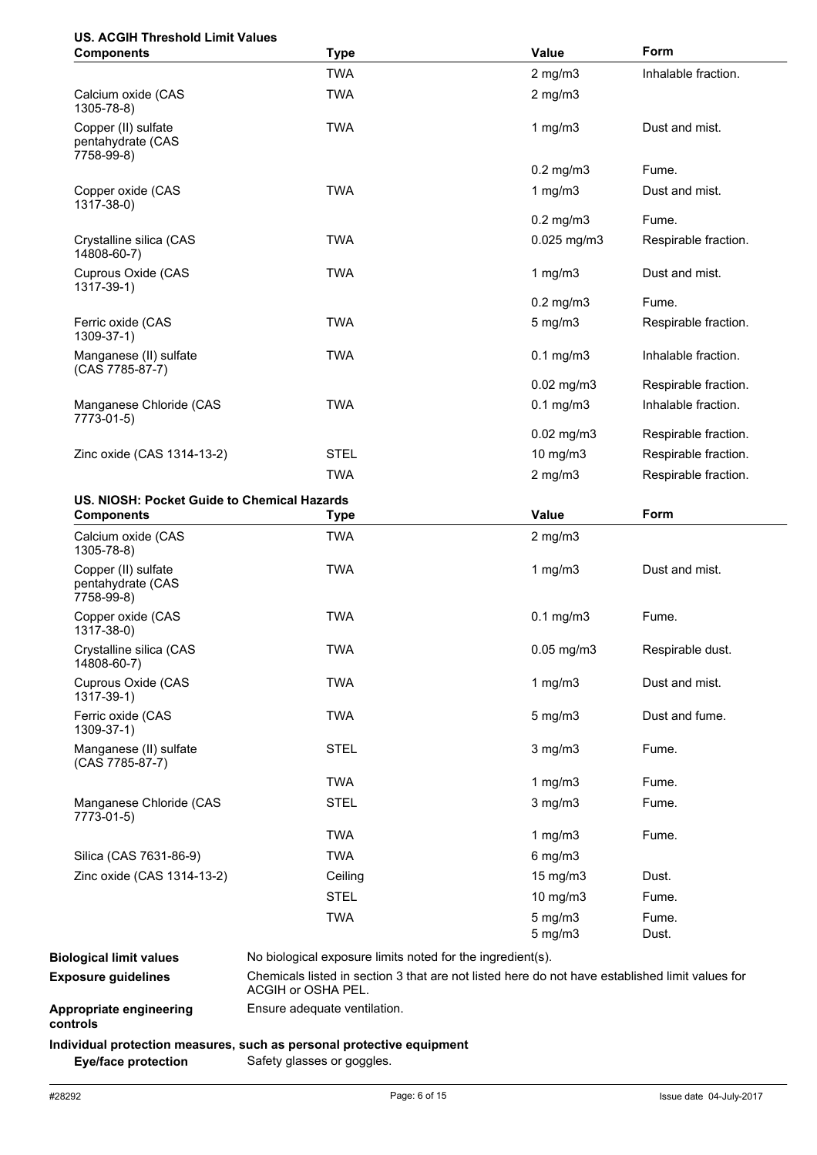# **US. ACGIH Threshold Limit Values**

| <b>Components</b>                                      | <b>Type</b>                                                                                                           | Value                        | Form                 |
|--------------------------------------------------------|-----------------------------------------------------------------------------------------------------------------------|------------------------------|----------------------|
|                                                        | <b>TWA</b>                                                                                                            | $2$ mg/m $3$                 | Inhalable fraction.  |
| Calcium oxide (CAS<br>1305-78-8)                       | <b>TWA</b>                                                                                                            | $2$ mg/m $3$                 |                      |
| Copper (II) sulfate<br>pentahydrate (CAS<br>7758-99-8) | <b>TWA</b>                                                                                                            | 1 $mg/m3$                    | Dust and mist.       |
|                                                        |                                                                                                                       | $0.2$ mg/m $3$               | Fume.                |
| Copper oxide (CAS<br>1317-38-0)                        | <b>TWA</b>                                                                                                            | 1 $mg/m3$                    | Dust and mist.       |
|                                                        |                                                                                                                       | $0.2$ mg/m $3$               | Fume.                |
| Crystalline silica (CAS<br>14808-60-7)                 | <b>TWA</b>                                                                                                            | $0.025$ mg/m3                | Respirable fraction. |
| Cuprous Oxide (CAS<br>1317-39-1)                       | <b>TWA</b>                                                                                                            | $1$ mg/m $3$                 | Dust and mist.       |
|                                                        |                                                                                                                       | $0.2$ mg/m $3$               | Fume.                |
| Ferric oxide (CAS<br>$1309 - 37 - 1$                   | <b>TWA</b>                                                                                                            | $5$ mg/m $3$                 | Respirable fraction. |
| Manganese (II) sulfate<br>(CAS 7785-87-7)              | <b>TWA</b>                                                                                                            | $0.1$ mg/m $3$               | Inhalable fraction.  |
|                                                        |                                                                                                                       | $0.02$ mg/m $3$              | Respirable fraction. |
| Manganese Chloride (CAS<br>7773-01-5)                  | <b>TWA</b>                                                                                                            | $0.1$ mg/m $3$               | Inhalable fraction.  |
|                                                        |                                                                                                                       | $0.02$ mg/m $3$              | Respirable fraction. |
| Zinc oxide (CAS 1314-13-2)                             | <b>STEL</b>                                                                                                           | 10 mg/m3                     | Respirable fraction. |
|                                                        | <b>TWA</b>                                                                                                            | $2$ mg/m $3$                 | Respirable fraction. |
| US. NIOSH: Pocket Guide to Chemical Hazards            |                                                                                                                       |                              |                      |
| <b>Components</b>                                      | <b>Type</b>                                                                                                           | Value                        | Form                 |
| Calcium oxide (CAS<br>1305-78-8)                       | <b>TWA</b>                                                                                                            | $2$ mg/m $3$                 |                      |
| Copper (II) sulfate<br>pentahydrate (CAS<br>7758-99-8) | <b>TWA</b>                                                                                                            | $1$ mg/m $3$                 | Dust and mist.       |
| Copper oxide (CAS<br>1317-38-0)                        | <b>TWA</b>                                                                                                            | $0.1$ mg/m $3$               | Fume.                |
| Crystalline silica (CAS<br>14808-60-7)                 | <b>TWA</b>                                                                                                            | $0.05$ mg/m $3$              | Respirable dust.     |
| Cuprous Oxide (CAS<br>1317-39-1)                       | <b>TWA</b>                                                                                                            | 1 $mg/m3$                    | Dust and mist.       |
| Ferric oxide (CAS<br>1309-37-1)                        | <b>TWA</b>                                                                                                            | $5$ mg/m $3$                 | Dust and fume.       |
| Manganese (II) sulfate<br>(CAS 7785-87-7)              | <b>STEL</b>                                                                                                           | $3$ mg/m $3$                 | Fume.                |
|                                                        | <b>TWA</b>                                                                                                            | 1 $mg/m3$                    | Fume.                |
| Manganese Chloride (CAS<br>7773-01-5)                  | <b>STEL</b>                                                                                                           | $3$ mg/m $3$                 | Fume.                |
|                                                        | <b>TWA</b>                                                                                                            | 1 $mg/m3$                    | Fume.                |
| Silica (CAS 7631-86-9)                                 | <b>TWA</b>                                                                                                            | $6$ mg/m $3$                 |                      |
| Zinc oxide (CAS 1314-13-2)                             | Ceiling                                                                                                               | 15 mg/m3                     | Dust.                |
|                                                        | <b>STEL</b>                                                                                                           | $10$ mg/m $3$                | Fume.                |
|                                                        | <b>TWA</b>                                                                                                            | $5$ mg/m $3$<br>$5$ mg/m $3$ | Fume.<br>Dust.       |
| <b>Biological limit values</b>                         | No biological exposure limits noted for the ingredient(s).                                                            |                              |                      |
| <b>Exposure guidelines</b>                             | Chemicals listed in section 3 that are not listed here do not have established limit values for<br>ACGIH or OSHA PEL. |                              |                      |
| Appropriate engineering<br>controls                    | Ensure adequate ventilation.                                                                                          |                              |                      |
|                                                        | Individual protection measures, such as personal protective equipment                                                 |                              |                      |

**Eye/face protection** Safety glasses or goggles.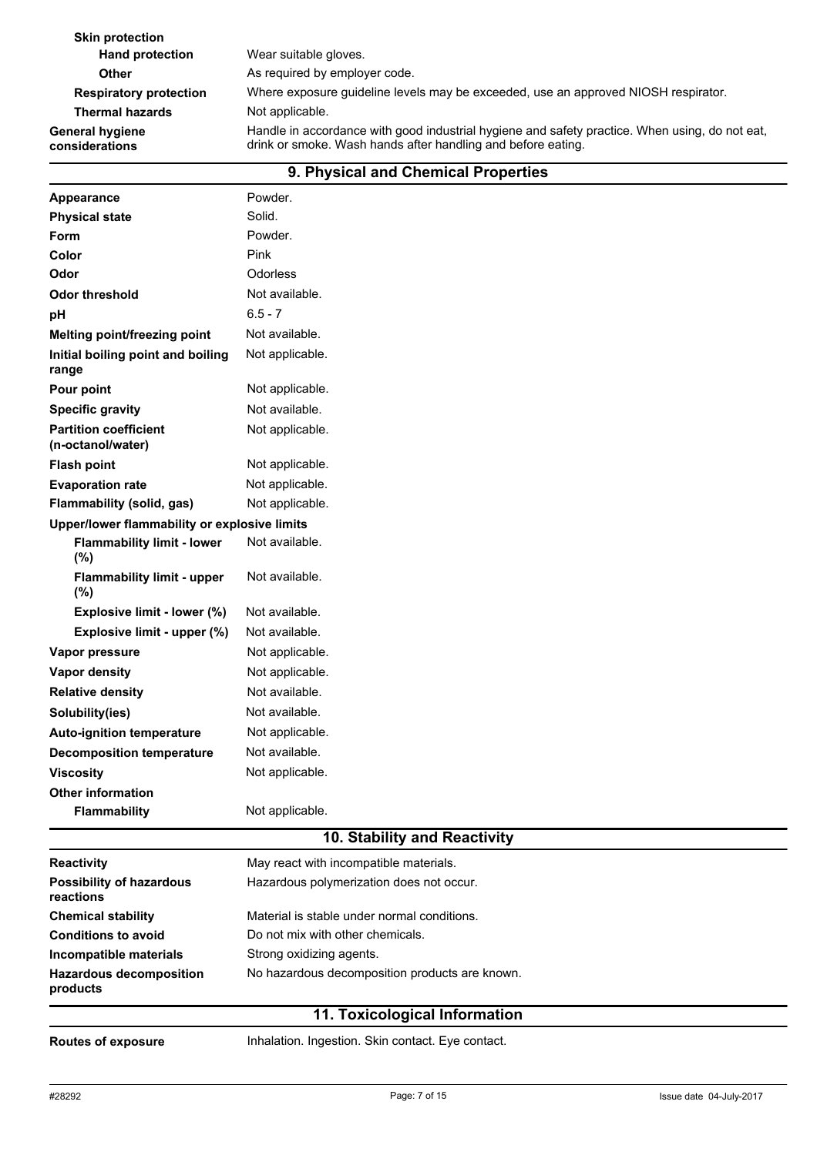**Skin protection Hand protection** Wear suitable gloves. **Other** As required by employer code. **Respiratory protection** Where exposure guideline levels may be exceeded, use an approved NIOSH respirator. **Thermal hazards** Not applicable. Handle in accordance with good industrial hygiene and safety practice. When using, do not eat, drink or smoke. Wash hands after handling and before eating. **General hygiene considerations**

|                                                   | 9. Physical and Unemical Properties            |
|---------------------------------------------------|------------------------------------------------|
| <b>Appearance</b>                                 | Powder.                                        |
| <b>Physical state</b>                             | Solid.                                         |
| Form                                              | Powder.                                        |
| Color                                             | Pink                                           |
| Odor                                              | <b>Odorless</b>                                |
| <b>Odor threshold</b>                             | Not available.                                 |
| рH                                                | $6.5 - 7$                                      |
| Melting point/freezing point                      | Not available.                                 |
| Initial boiling point and boiling<br>range        | Not applicable.                                |
| Pour point                                        | Not applicable.                                |
| <b>Specific gravity</b>                           | Not available.                                 |
| <b>Partition coefficient</b><br>(n-octanol/water) | Not applicable.                                |
| <b>Flash point</b>                                | Not applicable.                                |
| <b>Evaporation rate</b>                           | Not applicable.                                |
| Flammability (solid, gas)                         | Not applicable.                                |
| Upper/lower flammability or explosive limits      |                                                |
| <b>Flammability limit - lower</b><br>(%)          | Not available.                                 |
| <b>Flammability limit - upper</b><br>(%)          | Not available.                                 |
| Explosive limit - lower (%)                       | Not available.                                 |
| Explosive limit - upper (%)                       | Not available.                                 |
| Vapor pressure                                    | Not applicable.                                |
| <b>Vapor density</b>                              | Not applicable.                                |
| <b>Relative density</b>                           | Not available.                                 |
| Solubility(ies)                                   | Not available.                                 |
| <b>Auto-ignition temperature</b>                  | Not applicable.                                |
| <b>Decomposition temperature</b>                  | Not available.                                 |
| <b>Viscosity</b>                                  | Not applicable.                                |
| <b>Other information</b>                          |                                                |
| <b>Flammability</b>                               | Not applicable.                                |
|                                                   | 10. Stability and Reactivity                   |
| Reactivity                                        | May react with incompatible materials.         |
| <b>Possibility of hazardous</b><br>reactions      | Hazardous polymerization does not occur.       |
| <b>Chemical stability</b>                         | Material is stable under normal conditions.    |
| <b>Conditions to avoid</b>                        | Do not mix with other chemicals.               |
| Incompatible materials                            | Strong oxidizing agents.                       |
| <b>Hazardous decomposition</b><br>products        | No hazardous decomposition products are known. |

#### **9. Physical and Chemical Properties**

#### **11. Toxicological Information**

**Routes of exposure Inhalation. Ingestion. Skin contact. Eye contact.**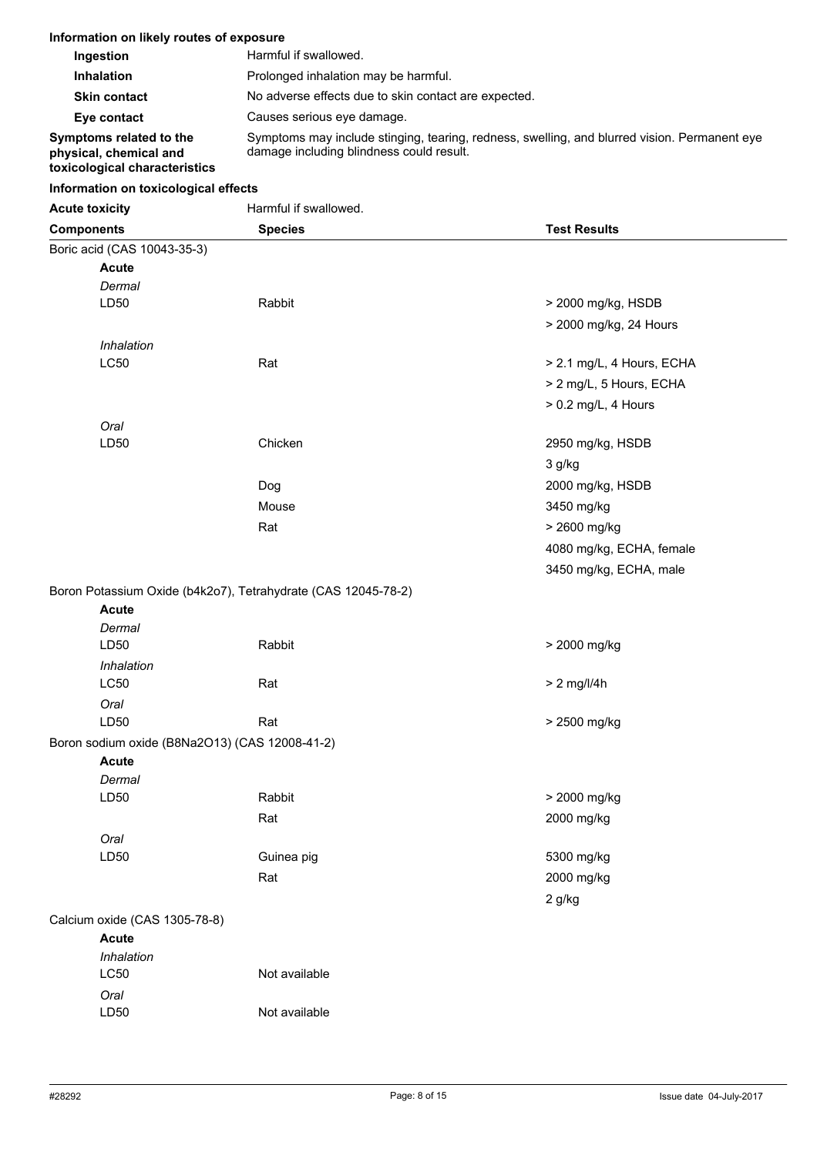| Information on likely routes of exposure                                           |                                                                                                                                          |
|------------------------------------------------------------------------------------|------------------------------------------------------------------------------------------------------------------------------------------|
| Ingestion                                                                          | Harmful if swallowed.                                                                                                                    |
| <b>Inhalation</b>                                                                  | Prolonged inhalation may be harmful.                                                                                                     |
| <b>Skin contact</b>                                                                | No adverse effects due to skin contact are expected.                                                                                     |
| Eye contact                                                                        | Causes serious eye damage.                                                                                                               |
| Symptoms related to the<br>physical, chemical and<br>toxicological characteristics | Symptoms may include stinging, tearing, redness, swelling, and blurred vision. Permanent eye<br>damage including blindness could result. |

# **Information on toxicological effects**

| <b>Acute toxicity</b> | Harmful if swallowed. |
|-----------------------|-----------------------|
|                       |                       |

LD50 Not available

| <b>Components</b>                              | <b>Species</b>                                                | <b>Test Results</b>       |
|------------------------------------------------|---------------------------------------------------------------|---------------------------|
| Boric acid (CAS 10043-35-3)                    |                                                               |                           |
| <b>Acute</b>                                   |                                                               |                           |
| Dermal                                         |                                                               |                           |
| LD50                                           | Rabbit                                                        | > 2000 mg/kg, HSDB        |
|                                                |                                                               | > 2000 mg/kg, 24 Hours    |
| Inhalation                                     |                                                               |                           |
| LC50                                           | Rat                                                           | > 2.1 mg/L, 4 Hours, ECHA |
|                                                |                                                               | > 2 mg/L, 5 Hours, ECHA   |
|                                                |                                                               | > 0.2 mg/L, 4 Hours       |
| Oral                                           |                                                               |                           |
| LD50                                           | Chicken                                                       | 2950 mg/kg, HSDB          |
|                                                |                                                               | 3 g/kg                    |
|                                                | Dog                                                           | 2000 mg/kg, HSDB          |
|                                                | Mouse                                                         | 3450 mg/kg                |
|                                                | Rat                                                           | > 2600 mg/kg              |
|                                                |                                                               | 4080 mg/kg, ECHA, female  |
|                                                |                                                               | 3450 mg/kg, ECHA, male    |
|                                                |                                                               |                           |
| <b>Acute</b>                                   | Boron Potassium Oxide (b4k2o7), Tetrahydrate (CAS 12045-78-2) |                           |
| Dermal                                         |                                                               |                           |
| LD50                                           | Rabbit                                                        | > 2000 mg/kg              |
| Inhalation                                     |                                                               |                           |
| LC50                                           | Rat                                                           | $> 2$ mg/l/4h             |
| Oral                                           |                                                               |                           |
| LD50                                           | Rat                                                           | > 2500 mg/kg              |
| Boron sodium oxide (B8Na2O13) (CAS 12008-41-2) |                                                               |                           |
| <b>Acute</b>                                   |                                                               |                           |
| Dermal                                         |                                                               |                           |
| LD50                                           | Rabbit                                                        | > 2000 mg/kg              |
|                                                | Rat                                                           | 2000 mg/kg                |
| Oral                                           |                                                               |                           |
| LD50                                           | Guinea pig                                                    | 5300 mg/kg                |
|                                                | Rat                                                           | 2000 mg/kg                |
|                                                |                                                               | 2 g/kg                    |
| Calcium oxide (CAS 1305-78-8)                  |                                                               |                           |
| <b>Acute</b>                                   |                                                               |                           |
| Inhalation                                     |                                                               |                           |
| LC50                                           | Not available                                                 |                           |
| Oral                                           |                                                               |                           |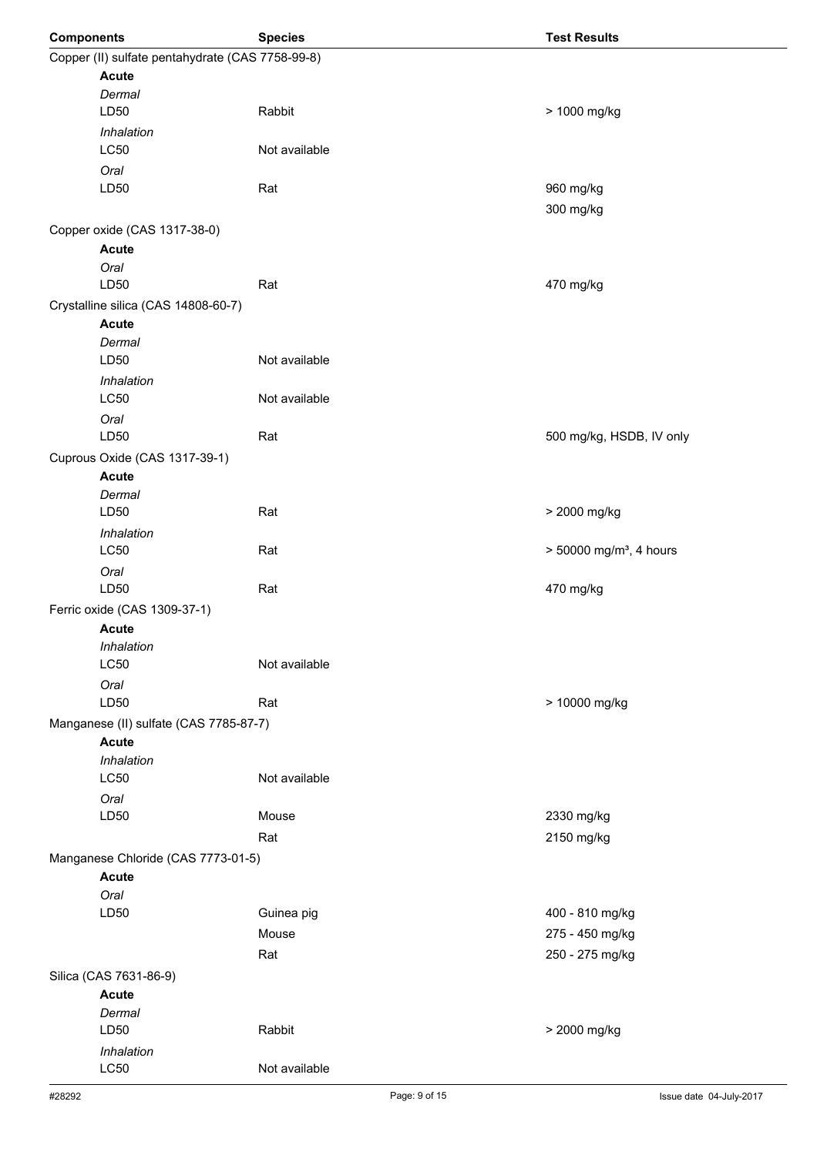| <b>Components</b>                                | <b>Species</b> | <b>Test Results</b>                 |
|--------------------------------------------------|----------------|-------------------------------------|
| Copper (II) sulfate pentahydrate (CAS 7758-99-8) |                |                                     |
| <b>Acute</b>                                     |                |                                     |
| Dermal                                           |                |                                     |
| LD50                                             | Rabbit         | > 1000 mg/kg                        |
| Inhalation<br><b>LC50</b>                        | Not available  |                                     |
| Oral                                             |                |                                     |
| LD50                                             | Rat            | 960 mg/kg                           |
|                                                  |                | 300 mg/kg                           |
| Copper oxide (CAS 1317-38-0)                     |                |                                     |
| <b>Acute</b>                                     |                |                                     |
| Oral                                             |                |                                     |
| LD50                                             | Rat            | 470 mg/kg                           |
| Crystalline silica (CAS 14808-60-7)              |                |                                     |
| <b>Acute</b>                                     |                |                                     |
| Dermal                                           |                |                                     |
| LD50                                             | Not available  |                                     |
| Inhalation<br><b>LC50</b>                        | Not available  |                                     |
|                                                  |                |                                     |
| Oral<br>LD50                                     | Rat            | 500 mg/kg, HSDB, IV only            |
| Cuprous Oxide (CAS 1317-39-1)                    |                |                                     |
| <b>Acute</b>                                     |                |                                     |
| Dermal                                           |                |                                     |
| LD50                                             | Rat            | > 2000 mg/kg                        |
| Inhalation                                       |                |                                     |
| LC50                                             | Rat            | > 50000 mg/m <sup>3</sup> , 4 hours |
| Oral                                             |                |                                     |
| LD50                                             | Rat            | 470 mg/kg                           |
| Ferric oxide (CAS 1309-37-1)                     |                |                                     |
| <b>Acute</b><br>Inhalation                       |                |                                     |
| <b>LC50</b>                                      | Not available  |                                     |
| Oral                                             |                |                                     |
| LD50                                             | Rat            | > 10000 mg/kg                       |
| Manganese (II) sulfate (CAS 7785-87-7)           |                |                                     |
| <b>Acute</b>                                     |                |                                     |
| Inhalation                                       |                |                                     |
| LC50                                             | Not available  |                                     |
| Oral                                             |                |                                     |
| LD50                                             | Mouse          | 2330 mg/kg                          |
|                                                  | Rat            | 2150 mg/kg                          |
| Manganese Chloride (CAS 7773-01-5)               |                |                                     |
| <b>Acute</b>                                     |                |                                     |
| Oral<br>LD50                                     | Guinea pig     | 400 - 810 mg/kg                     |
|                                                  | Mouse          | 275 - 450 mg/kg                     |
|                                                  | Rat            | 250 - 275 mg/kg                     |
| Silica (CAS 7631-86-9)                           |                |                                     |
| <b>Acute</b>                                     |                |                                     |
| Dermal                                           |                |                                     |
| LD50                                             | Rabbit         | > 2000 mg/kg                        |
| Inhalation                                       |                |                                     |
| LC50                                             | Not available  |                                     |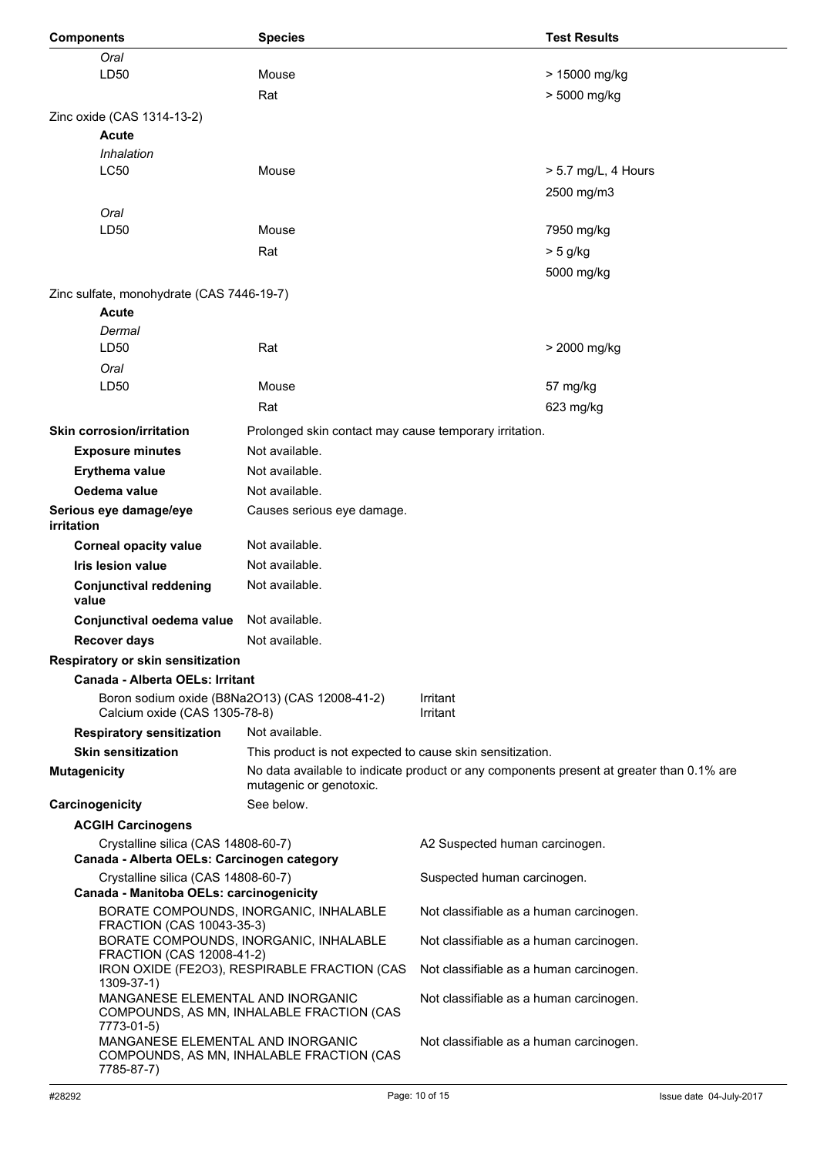| <b>Components</b>                                                                 | <b>Species</b>                                            |                                         | <b>Test Results</b>                                                                      |
|-----------------------------------------------------------------------------------|-----------------------------------------------------------|-----------------------------------------|------------------------------------------------------------------------------------------|
| Oral                                                                              |                                                           |                                         |                                                                                          |
| LD50                                                                              | Mouse                                                     |                                         | > 15000 mg/kg                                                                            |
|                                                                                   | Rat                                                       |                                         | > 5000 mg/kg                                                                             |
|                                                                                   |                                                           |                                         |                                                                                          |
| Zinc oxide (CAS 1314-13-2)                                                        |                                                           |                                         |                                                                                          |
| Acute                                                                             |                                                           |                                         |                                                                                          |
| Inhalation                                                                        |                                                           |                                         |                                                                                          |
| LC50                                                                              | Mouse                                                     |                                         | > 5.7 mg/L, 4 Hours                                                                      |
|                                                                                   |                                                           |                                         | 2500 mg/m3                                                                               |
| Oral                                                                              |                                                           |                                         |                                                                                          |
| LD50                                                                              | Mouse                                                     |                                         | 7950 mg/kg                                                                               |
|                                                                                   | Rat                                                       |                                         | $> 5$ g/kg                                                                               |
|                                                                                   |                                                           |                                         | 5000 mg/kg                                                                               |
| Zinc sulfate, monohydrate (CAS 7446-19-7)                                         |                                                           |                                         |                                                                                          |
| Acute                                                                             |                                                           |                                         |                                                                                          |
| Dermal                                                                            |                                                           |                                         |                                                                                          |
| LD <sub>50</sub>                                                                  | Rat                                                       |                                         | > 2000 mg/kg                                                                             |
|                                                                                   |                                                           |                                         |                                                                                          |
| Oral                                                                              |                                                           |                                         |                                                                                          |
| LD50                                                                              | Mouse                                                     |                                         | 57 mg/kg                                                                                 |
|                                                                                   | Rat                                                       |                                         | 623 mg/kg                                                                                |
| <b>Skin corrosion/irritation</b>                                                  | Prolonged skin contact may cause temporary irritation.    |                                         |                                                                                          |
| <b>Exposure minutes</b>                                                           | Not available.                                            |                                         |                                                                                          |
| Erythema value                                                                    | Not available.                                            |                                         |                                                                                          |
| Oedema value                                                                      | Not available.                                            |                                         |                                                                                          |
|                                                                                   |                                                           |                                         |                                                                                          |
| Serious eye damage/eye<br>irritation                                              | Causes serious eye damage.                                |                                         |                                                                                          |
| <b>Corneal opacity value</b>                                                      | Not available.                                            |                                         |                                                                                          |
| <b>Iris lesion value</b>                                                          | Not available.                                            |                                         |                                                                                          |
| <b>Conjunctival reddening</b><br>value                                            | Not available.                                            |                                         |                                                                                          |
| Conjunctival oedema value                                                         | Not available.                                            |                                         |                                                                                          |
| <b>Recover davs</b>                                                               | Not available.                                            |                                         |                                                                                          |
| Respiratory or skin sensitization                                                 |                                                           |                                         |                                                                                          |
| Canada - Alberta OELs: Irritant                                                   |                                                           |                                         |                                                                                          |
|                                                                                   | Boron sodium oxide (B8Na2O13) (CAS 12008-41-2)            | Irritant                                |                                                                                          |
| Calcium oxide (CAS 1305-78-8)                                                     |                                                           | Irritant                                |                                                                                          |
| <b>Respiratory sensitization</b>                                                  | Not available.                                            |                                         |                                                                                          |
| <b>Skin sensitization</b>                                                         | This product is not expected to cause skin sensitization. |                                         |                                                                                          |
| <b>Mutagenicity</b>                                                               | mutagenic or genotoxic.                                   |                                         | No data available to indicate product or any components present at greater than 0.1% are |
| Carcinogenicity                                                                   | See below.                                                |                                         |                                                                                          |
| <b>ACGIH Carcinogens</b>                                                          |                                                           |                                         |                                                                                          |
| Crystalline silica (CAS 14808-60-7)<br>Canada - Alberta OELs: Carcinogen category |                                                           | A2 Suspected human carcinogen.          |                                                                                          |
| Crystalline silica (CAS 14808-60-7)<br>Canada - Manitoba OELs: carcinogenicity    |                                                           | Suspected human carcinogen.             |                                                                                          |
|                                                                                   | BORATE COMPOUNDS, INORGANIC, INHALABLE                    | Not classifiable as a human carcinogen. |                                                                                          |
| FRACTION (CAS 10043-35-3)                                                         |                                                           |                                         |                                                                                          |
| FRACTION (CAS 12008-41-2)                                                         | BORATE COMPOUNDS, INORGANIC, INHALABLE                    | Not classifiable as a human carcinogen. |                                                                                          |
| $1309 - 37 - 1$                                                                   | IRON OXIDE (FE2O3), RESPIRABLE FRACTION (CAS              | Not classifiable as a human carcinogen. |                                                                                          |
| MANGANESE ELEMENTAL AND INORGANIC<br>7773-01-5)                                   | COMPOUNDS, AS MN, INHALABLE FRACTION (CAS                 | Not classifiable as a human carcinogen. |                                                                                          |
| MANGANESE ELEMENTAL AND INORGANIC<br>7785-87-7)                                   | COMPOUNDS, AS MN, INHALABLE FRACTION (CAS                 | Not classifiable as a human carcinogen. |                                                                                          |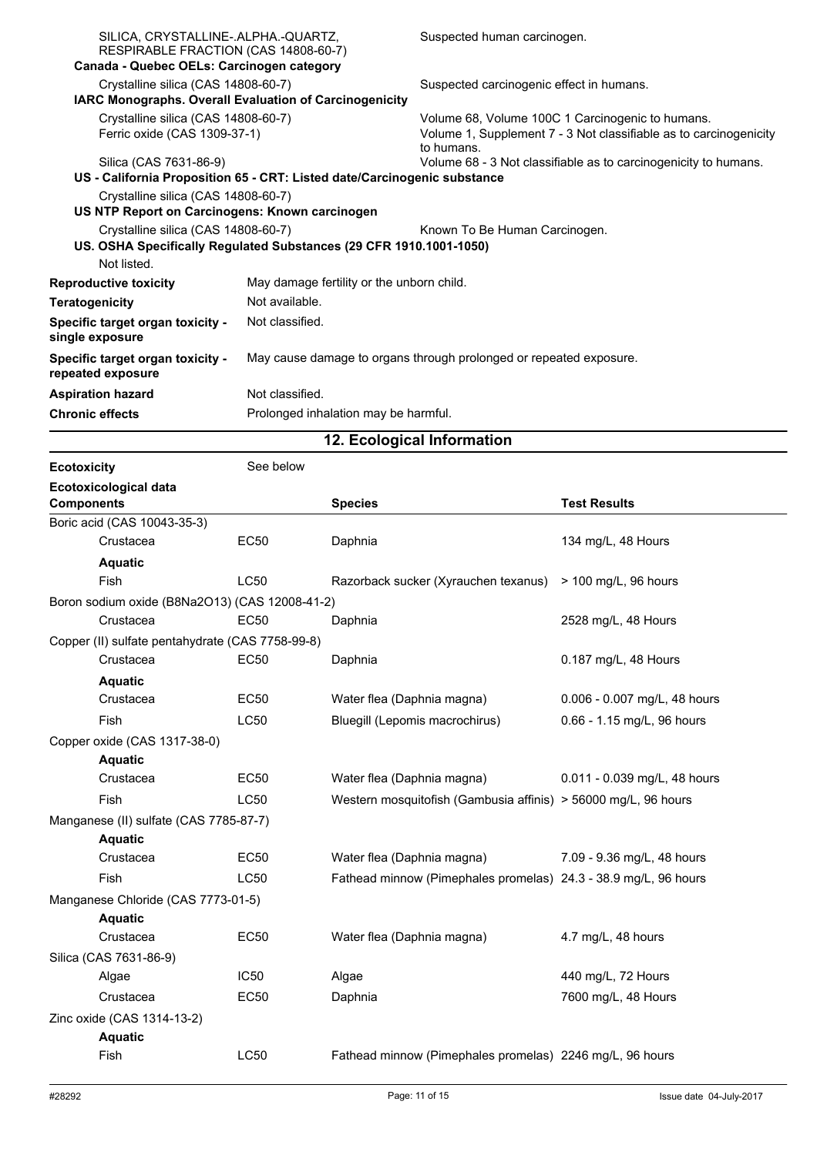| SILICA, CRYSTALLINE-.ALPHA.-QUARTZ,<br>RESPIRABLE FRACTION (CAS 14808-60-7)                          |                                                                          | Suspected human carcinogen.                                                                                                         |
|------------------------------------------------------------------------------------------------------|--------------------------------------------------------------------------|-------------------------------------------------------------------------------------------------------------------------------------|
| Canada - Quebec OELs: Carcinogen category                                                            |                                                                          |                                                                                                                                     |
| Crystalline silica (CAS 14808-60-7)<br><b>IARC Monographs. Overall Evaluation of Carcinogenicity</b> |                                                                          | Suspected carcinogenic effect in humans.                                                                                            |
| Crystalline silica (CAS 14808-60-7)<br>Ferric oxide (CAS 1309-37-1)                                  |                                                                          | Volume 68, Volume 100C 1 Carcinogenic to humans.<br>Volume 1, Supplement 7 - 3 Not classifiable as to carcinogenicity<br>to humans. |
| Silica (CAS 7631-86-9)                                                                               |                                                                          | Volume 68 - 3 Not classifiable as to carcinogenicity to humans.                                                                     |
|                                                                                                      | US - California Proposition 65 - CRT: Listed date/Carcinogenic substance |                                                                                                                                     |
| Crystalline silica (CAS 14808-60-7)                                                                  |                                                                          |                                                                                                                                     |
| US NTP Report on Carcinogens: Known carcinogen                                                       |                                                                          |                                                                                                                                     |
| Crystalline silica (CAS 14808-60-7)                                                                  |                                                                          | Known To Be Human Carcinogen.                                                                                                       |
|                                                                                                      | US. OSHA Specifically Regulated Substances (29 CFR 1910.1001-1050)       |                                                                                                                                     |
| Not listed.                                                                                          |                                                                          |                                                                                                                                     |
| <b>Reproductive toxicity</b>                                                                         | May damage fertility or the unborn child.                                |                                                                                                                                     |
| <b>Teratogenicity</b>                                                                                | Not available.                                                           |                                                                                                                                     |
| Specific target organ toxicity -<br>single exposure                                                  | Not classified.                                                          |                                                                                                                                     |
| Specific target organ toxicity -<br>repeated exposure                                                | May cause damage to organs through prolonged or repeated exposure.       |                                                                                                                                     |
| <b>Aspiration hazard</b>                                                                             | Not classified.                                                          |                                                                                                                                     |
| <b>Chronic effects</b>                                                                               | Prolonged inhalation may be harmful.                                     |                                                                                                                                     |

**12. Ecological Information**

| <b>Ecotoxicity</b> |                                                  | See below   |                                                                 |                              |
|--------------------|--------------------------------------------------|-------------|-----------------------------------------------------------------|------------------------------|
| <b>Components</b>  | <b>Ecotoxicological data</b>                     |             | <b>Species</b>                                                  | <b>Test Results</b>          |
|                    | Boric acid (CAS 10043-35-3)                      |             |                                                                 |                              |
|                    | Crustacea                                        | <b>EC50</b> | Daphnia                                                         | 134 mg/L, 48 Hours           |
|                    | <b>Aquatic</b>                                   |             |                                                                 |                              |
|                    | Fish                                             | LC50        | Razorback sucker (Xyrauchen texanus)                            | > 100 mg/L, 96 hours         |
|                    | Boron sodium oxide (B8Na2O13) (CAS 12008-41-2)   |             |                                                                 |                              |
|                    | Crustacea                                        | <b>EC50</b> | Daphnia                                                         | 2528 mg/L, 48 Hours          |
|                    | Copper (II) sulfate pentahydrate (CAS 7758-99-8) |             |                                                                 |                              |
|                    | Crustacea                                        | <b>EC50</b> | Daphnia                                                         | 0.187 mg/L, 48 Hours         |
|                    | <b>Aquatic</b>                                   |             |                                                                 |                              |
|                    | Crustacea                                        | <b>EC50</b> | Water flea (Daphnia magna)                                      | 0.006 - 0.007 mg/L, 48 hours |
|                    | <b>Fish</b>                                      | LC50        | Bluegill (Lepomis macrochirus)                                  | 0.66 - 1.15 mg/L, 96 hours   |
|                    | Copper oxide (CAS 1317-38-0)                     |             |                                                                 |                              |
|                    | <b>Aquatic</b>                                   |             |                                                                 |                              |
|                    | Crustacea                                        | <b>EC50</b> | Water flea (Daphnia magna)                                      | 0.011 - 0.039 mg/L, 48 hours |
|                    | Fish                                             | LC50        | Western mosquitofish (Gambusia affinis) > 56000 mg/L, 96 hours  |                              |
|                    | Manganese (II) sulfate (CAS 7785-87-7)           |             |                                                                 |                              |
|                    | <b>Aquatic</b>                                   |             |                                                                 |                              |
|                    | Crustacea                                        | <b>EC50</b> | Water flea (Daphnia magna)                                      | 7.09 - 9.36 mg/L, 48 hours   |
|                    | <b>Fish</b>                                      | <b>LC50</b> | Fathead minnow (Pimephales promelas) 24.3 - 38.9 mg/L, 96 hours |                              |
|                    | Manganese Chloride (CAS 7773-01-5)               |             |                                                                 |                              |
|                    | <b>Aquatic</b>                                   |             |                                                                 |                              |
|                    | Crustacea                                        | <b>EC50</b> | Water flea (Daphnia magna)                                      | 4.7 mg/L, 48 hours           |
|                    | Silica (CAS 7631-86-9)                           |             |                                                                 |                              |
|                    | Algae                                            | <b>IC50</b> | Algae                                                           | 440 mg/L, 72 Hours           |
|                    | Crustacea                                        | <b>EC50</b> | Daphnia                                                         | 7600 mg/L, 48 Hours          |
|                    | Zinc oxide (CAS 1314-13-2)                       |             |                                                                 |                              |
|                    | <b>Aquatic</b>                                   |             |                                                                 |                              |
|                    | Fish                                             | LC50        | Fathead minnow (Pimephales promelas) 2246 mg/L, 96 hours        |                              |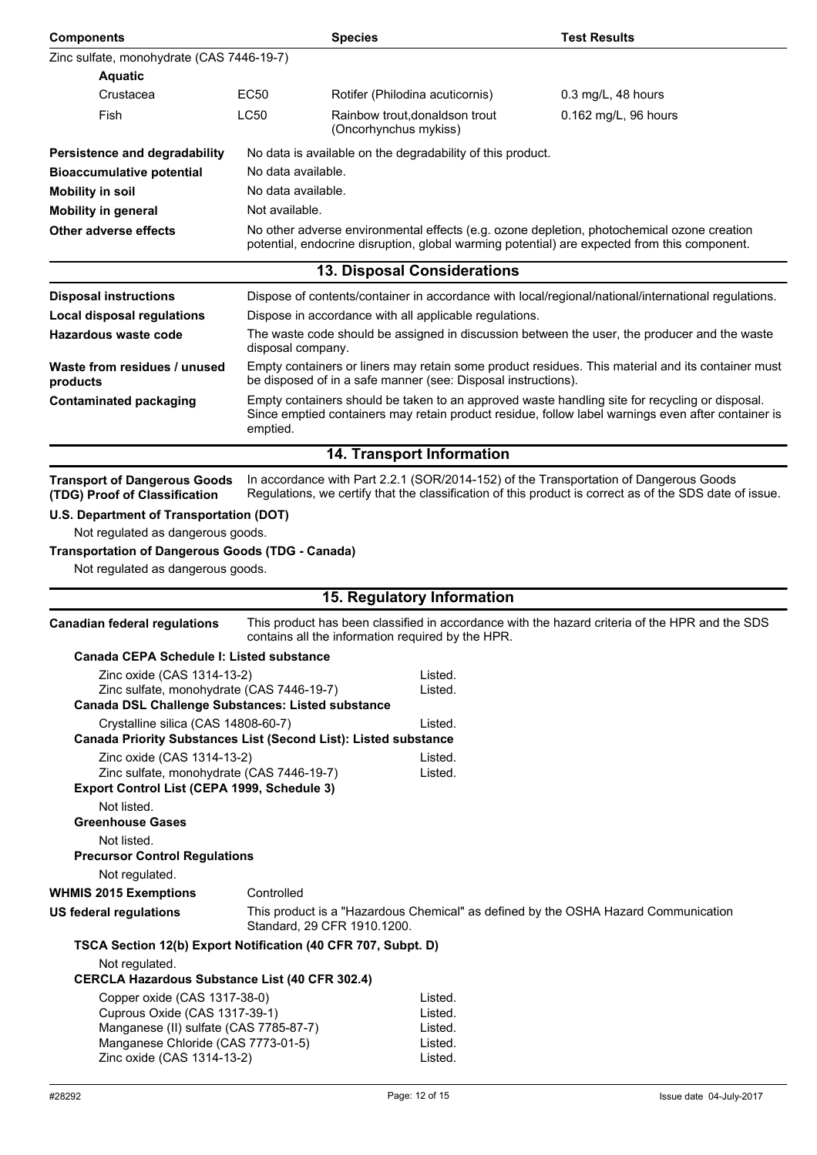| <b>Components</b>                                                                                                                                                           |                    | <b>Species</b>                                                | <b>Test Results</b>                                                                                                                                                                                  |  |
|-----------------------------------------------------------------------------------------------------------------------------------------------------------------------------|--------------------|---------------------------------------------------------------|------------------------------------------------------------------------------------------------------------------------------------------------------------------------------------------------------|--|
| Zinc sulfate, monohydrate (CAS 7446-19-7)                                                                                                                                   |                    |                                                               |                                                                                                                                                                                                      |  |
| <b>Aquatic</b>                                                                                                                                                              |                    |                                                               |                                                                                                                                                                                                      |  |
| Crustacea                                                                                                                                                                   | EC50               | Rotifer (Philodina acuticornis)                               | $0.3$ mg/L, 48 hours                                                                                                                                                                                 |  |
| Fish                                                                                                                                                                        | <b>LC50</b>        | Rainbow trout, donaldson trout<br>(Oncorhynchus mykiss)       | 0.162 mg/L, 96 hours                                                                                                                                                                                 |  |
| Persistence and degradability                                                                                                                                               |                    | No data is available on the degradability of this product.    |                                                                                                                                                                                                      |  |
| <b>Bioaccumulative potential</b>                                                                                                                                            | No data available. |                                                               |                                                                                                                                                                                                      |  |
| <b>Mobility in soil</b>                                                                                                                                                     | No data available. |                                                               |                                                                                                                                                                                                      |  |
| <b>Mobility in general</b>                                                                                                                                                  | Not available.     |                                                               |                                                                                                                                                                                                      |  |
| <b>Other adverse effects</b>                                                                                                                                                |                    |                                                               | No other adverse environmental effects (e.g. ozone depletion, photochemical ozone creation<br>potential, endocrine disruption, global warming potential) are expected from this component.           |  |
|                                                                                                                                                                             |                    | <b>13. Disposal Considerations</b>                            |                                                                                                                                                                                                      |  |
| <b>Disposal instructions</b>                                                                                                                                                |                    |                                                               | Dispose of contents/container in accordance with local/regional/national/international regulations.                                                                                                  |  |
| <b>Local disposal regulations</b>                                                                                                                                           |                    | Dispose in accordance with all applicable regulations.        |                                                                                                                                                                                                      |  |
| Hazardous waste code                                                                                                                                                        | disposal company.  |                                                               | The waste code should be assigned in discussion between the user, the producer and the waste                                                                                                         |  |
| Waste from residues / unused<br>products                                                                                                                                    |                    | be disposed of in a safe manner (see: Disposal instructions). | Empty containers or liners may retain some product residues. This material and its container must                                                                                                    |  |
| <b>Contaminated packaging</b>                                                                                                                                               | emptied.           |                                                               | Empty containers should be taken to an approved waste handling site for recycling or disposal.<br>Since emptied containers may retain product residue, follow label warnings even after container is |  |
|                                                                                                                                                                             |                    | 14. Transport Information                                     |                                                                                                                                                                                                      |  |
| <b>Transport of Dangerous Goods</b><br>(TDG) Proof of Classification                                                                                                        |                    |                                                               | In accordance with Part 2.2.1 (SOR/2014-152) of the Transportation of Dangerous Goods<br>Regulations, we certify that the classification of this product is correct as of the SDS date of issue.     |  |
| U.S. Department of Transportation (DOT)                                                                                                                                     |                    |                                                               |                                                                                                                                                                                                      |  |
| Not regulated as dangerous goods.                                                                                                                                           |                    |                                                               |                                                                                                                                                                                                      |  |
| <b>Transportation of Dangerous Goods (TDG - Canada)</b><br>Not regulated as dangerous goods.                                                                                |                    |                                                               |                                                                                                                                                                                                      |  |
|                                                                                                                                                                             |                    |                                                               |                                                                                                                                                                                                      |  |
|                                                                                                                                                                             |                    | 15. Regulatory Information                                    |                                                                                                                                                                                                      |  |
| <b>Canadian federal regulations</b>                                                                                                                                         |                    | contains all the information required by the HPR.             | This product has been classified in accordance with the hazard criteria of the HPR and the SDS                                                                                                       |  |
| Canada CEPA Schedule I: Listed substance                                                                                                                                    |                    |                                                               |                                                                                                                                                                                                      |  |
| Zinc oxide (CAS 1314-13-2)                                                                                                                                                  |                    | Listed.                                                       |                                                                                                                                                                                                      |  |
| Zinc sulfate, monohydrate (CAS 7446-19-7)<br><b>Canada DSL Challenge Substances: Listed substance</b>                                                                       |                    | Listed.                                                       |                                                                                                                                                                                                      |  |
| Crystalline silica (CAS 14808-60-7)                                                                                                                                         |                    | Listed.                                                       |                                                                                                                                                                                                      |  |
| Canada Priority Substances List (Second List): Listed substance                                                                                                             |                    |                                                               |                                                                                                                                                                                                      |  |
| Zinc oxide (CAS 1314-13-2)                                                                                                                                                  |                    | Listed.                                                       |                                                                                                                                                                                                      |  |
| Zinc sulfate, monohydrate (CAS 7446-19-7)<br>Export Control List (CEPA 1999, Schedule 3)                                                                                    |                    | Listed.                                                       |                                                                                                                                                                                                      |  |
| Not listed.                                                                                                                                                                 |                    |                                                               |                                                                                                                                                                                                      |  |
| <b>Greenhouse Gases</b>                                                                                                                                                     |                    |                                                               |                                                                                                                                                                                                      |  |
| Not listed.<br><b>Precursor Control Regulations</b>                                                                                                                         |                    |                                                               |                                                                                                                                                                                                      |  |
| Not regulated.                                                                                                                                                              |                    |                                                               |                                                                                                                                                                                                      |  |
| <b>WHMIS 2015 Exemptions</b>                                                                                                                                                | Controlled         |                                                               |                                                                                                                                                                                                      |  |
| <b>US federal regulations</b>                                                                                                                                               |                    | Standard, 29 CFR 1910.1200.                                   | This product is a "Hazardous Chemical" as defined by the OSHA Hazard Communication                                                                                                                   |  |
| TSCA Section 12(b) Export Notification (40 CFR 707, Subpt. D)                                                                                                               |                    |                                                               |                                                                                                                                                                                                      |  |
| Not regulated.<br><b>CERCLA Hazardous Substance List (40 CFR 302.4)</b>                                                                                                     |                    |                                                               |                                                                                                                                                                                                      |  |
| Copper oxide (CAS 1317-38-0)<br>Cuprous Oxide (CAS 1317-39-1)<br>Manganese (II) sulfate (CAS 7785-87-7)<br>Manganese Chloride (CAS 7773-01-5)<br>Zinc oxide (CAS 1314-13-2) |                    | Listed.<br>Listed.<br>Listed.<br>Listed.<br>Listed.           |                                                                                                                                                                                                      |  |
|                                                                                                                                                                             |                    |                                                               |                                                                                                                                                                                                      |  |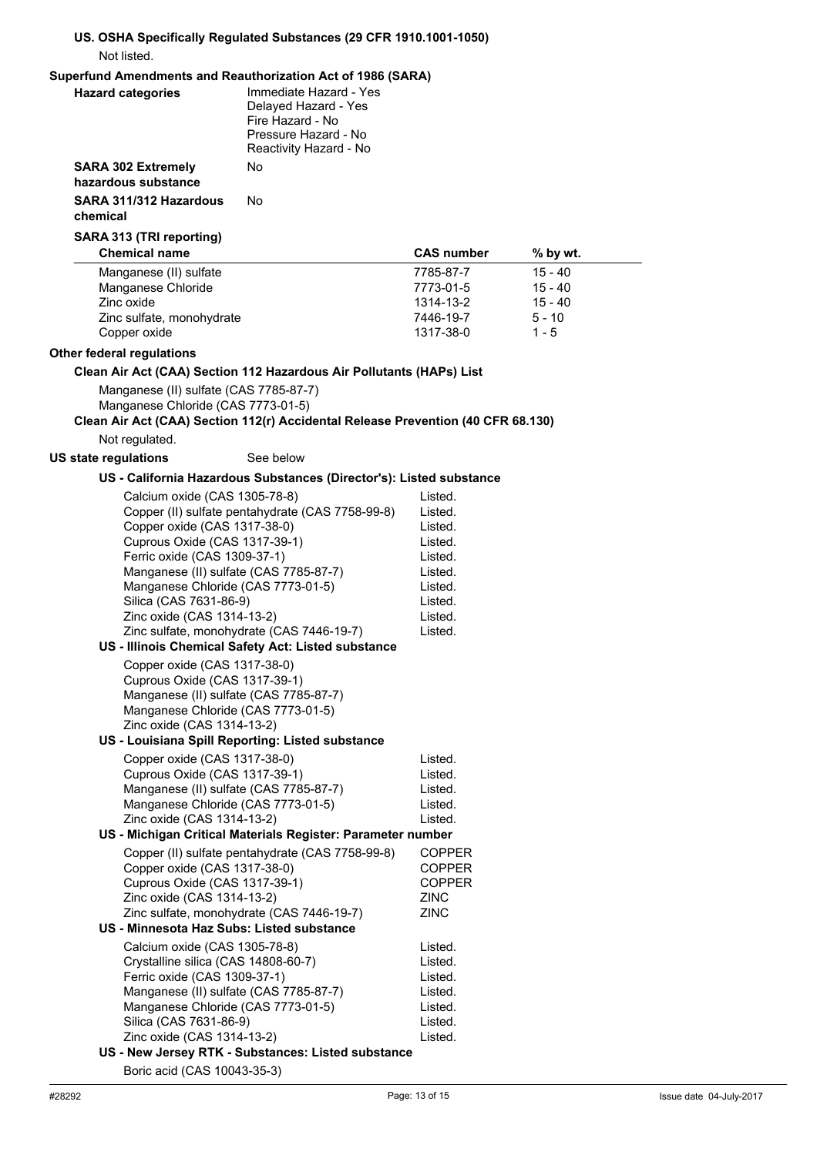## **US. OSHA Specifically Regulated Substances (29 CFR 1910.1001-1050)** Not listed.

# **Superfund Amendments and Reauthorization Act of 1986 (SARA)**

| <b>Superiuma Amendments and Readthorization Act of 1960 (SARA)</b><br><b>Hazard categories</b> | Immediate Hazard - Yes<br>Delayed Hazard - Yes<br>Fire Hazard - No<br>Pressure Hazard - No<br>Reactivity Hazard - No |                        |                       |  |
|------------------------------------------------------------------------------------------------|----------------------------------------------------------------------------------------------------------------------|------------------------|-----------------------|--|
| <b>SARA 302 Extremely</b><br>hazardous substance                                               | No                                                                                                                   |                        |                       |  |
| SARA 311/312 Hazardous<br>chemical                                                             | No                                                                                                                   |                        |                       |  |
| SARA 313 (TRI reporting)                                                                       |                                                                                                                      |                        |                       |  |
| <b>Chemical name</b>                                                                           |                                                                                                                      | <b>CAS number</b>      | % by wt.              |  |
| Manganese (II) sulfate                                                                         |                                                                                                                      | 7785-87-7              | $15 - 40$             |  |
| Manganese Chloride                                                                             |                                                                                                                      | 7773-01-5              | $15 - 40$             |  |
| Zinc oxide<br>Zinc sulfate, monohydrate                                                        |                                                                                                                      | 1314-13-2<br>7446-19-7 | $15 - 40$<br>$5 - 10$ |  |
| Copper oxide                                                                                   |                                                                                                                      | 1317-38-0              | $1 - 5$               |  |
| Other federal regulations                                                                      |                                                                                                                      |                        |                       |  |
|                                                                                                | Clean Air Act (CAA) Section 112 Hazardous Air Pollutants (HAPs) List                                                 |                        |                       |  |
| Manganese (II) sulfate (CAS 7785-87-7)                                                         |                                                                                                                      |                        |                       |  |
| Manganese Chloride (CAS 7773-01-5)                                                             |                                                                                                                      |                        |                       |  |
|                                                                                                | Clean Air Act (CAA) Section 112(r) Accidental Release Prevention (40 CFR 68.130)                                     |                        |                       |  |
| Not regulated.                                                                                 |                                                                                                                      |                        |                       |  |
| US state regulations                                                                           | See below                                                                                                            |                        |                       |  |
|                                                                                                | US - California Hazardous Substances (Director's): Listed substance                                                  |                        |                       |  |
| Calcium oxide (CAS 1305-78-8)                                                                  |                                                                                                                      | Listed.                |                       |  |
|                                                                                                | Copper (II) sulfate pentahydrate (CAS 7758-99-8)                                                                     | Listed.                |                       |  |
| Copper oxide (CAS 1317-38-0)                                                                   |                                                                                                                      | Listed.                |                       |  |
| Cuprous Oxide (CAS 1317-39-1)                                                                  |                                                                                                                      | Listed.                |                       |  |
| Ferric oxide (CAS 1309-37-1)                                                                   |                                                                                                                      | Listed.                |                       |  |
| Manganese (II) sulfate (CAS 7785-87-7)<br>Manganese Chloride (CAS 7773-01-5)                   |                                                                                                                      | Listed.<br>Listed.     |                       |  |
| Silica (CAS 7631-86-9)                                                                         |                                                                                                                      | Listed.                |                       |  |
| Zinc oxide (CAS 1314-13-2)                                                                     |                                                                                                                      | Listed.                |                       |  |
|                                                                                                | Zinc sulfate, monohydrate (CAS 7446-19-7)                                                                            | Listed.                |                       |  |
|                                                                                                | US - Illinois Chemical Safety Act: Listed substance                                                                  |                        |                       |  |
| Copper oxide (CAS 1317-38-0)                                                                   |                                                                                                                      |                        |                       |  |
| Cuprous Oxide (CAS 1317-39-1)                                                                  |                                                                                                                      |                        |                       |  |
| Manganese (II) sulfate (CAS 7785-87-7)<br>Manganese Chloride (CAS 7773-01-5)                   |                                                                                                                      |                        |                       |  |
| Zinc oxide (CAS 1314-13-2)                                                                     |                                                                                                                      |                        |                       |  |
|                                                                                                | US - Louisiana Spill Reporting: Listed substance                                                                     |                        |                       |  |
| Copper oxide (CAS 1317-38-0)                                                                   |                                                                                                                      | Listed.                |                       |  |
| Cuprous Oxide (CAS 1317-39-1)                                                                  |                                                                                                                      | Listed.                |                       |  |
| Manganese (II) sulfate (CAS 7785-87-7)                                                         |                                                                                                                      | Listed.                |                       |  |
| Manganese Chloride (CAS 7773-01-5)<br>Zinc oxide (CAS 1314-13-2)                               |                                                                                                                      | Listed.<br>Listed.     |                       |  |
|                                                                                                | US - Michigan Critical Materials Register: Parameter number                                                          |                        |                       |  |
|                                                                                                | Copper (II) sulfate pentahydrate (CAS 7758-99-8)                                                                     | <b>COPPER</b>          |                       |  |
| Copper oxide (CAS 1317-38-0)                                                                   |                                                                                                                      | <b>COPPER</b>          |                       |  |
| Cuprous Oxide (CAS 1317-39-1)                                                                  |                                                                                                                      | <b>COPPER</b>          |                       |  |
| Zinc oxide (CAS 1314-13-2)                                                                     |                                                                                                                      | <b>ZINC</b>            |                       |  |
|                                                                                                | Zinc sulfate, monohydrate (CAS 7446-19-7)                                                                            | <b>ZINC</b>            |                       |  |
| US - Minnesota Haz Subs: Listed substance                                                      |                                                                                                                      |                        |                       |  |
| Calcium oxide (CAS 1305-78-8)<br>Crystalline silica (CAS 14808-60-7)                           |                                                                                                                      | Listed.                |                       |  |
| Ferric oxide (CAS 1309-37-1)                                                                   |                                                                                                                      | Listed.<br>Listed.     |                       |  |
| Manganese (II) sulfate (CAS 7785-87-7)                                                         |                                                                                                                      | Listed.                |                       |  |
| Manganese Chloride (CAS 7773-01-5)                                                             |                                                                                                                      | Listed.                |                       |  |
| Silica (CAS 7631-86-9)                                                                         |                                                                                                                      | Listed.                |                       |  |
| Zinc oxide (CAS 1314-13-2)                                                                     |                                                                                                                      | Listed.                |                       |  |
|                                                                                                | US - New Jersey RTK - Substances: Listed substance                                                                   |                        |                       |  |

Boric acid (CAS 10043-35-3)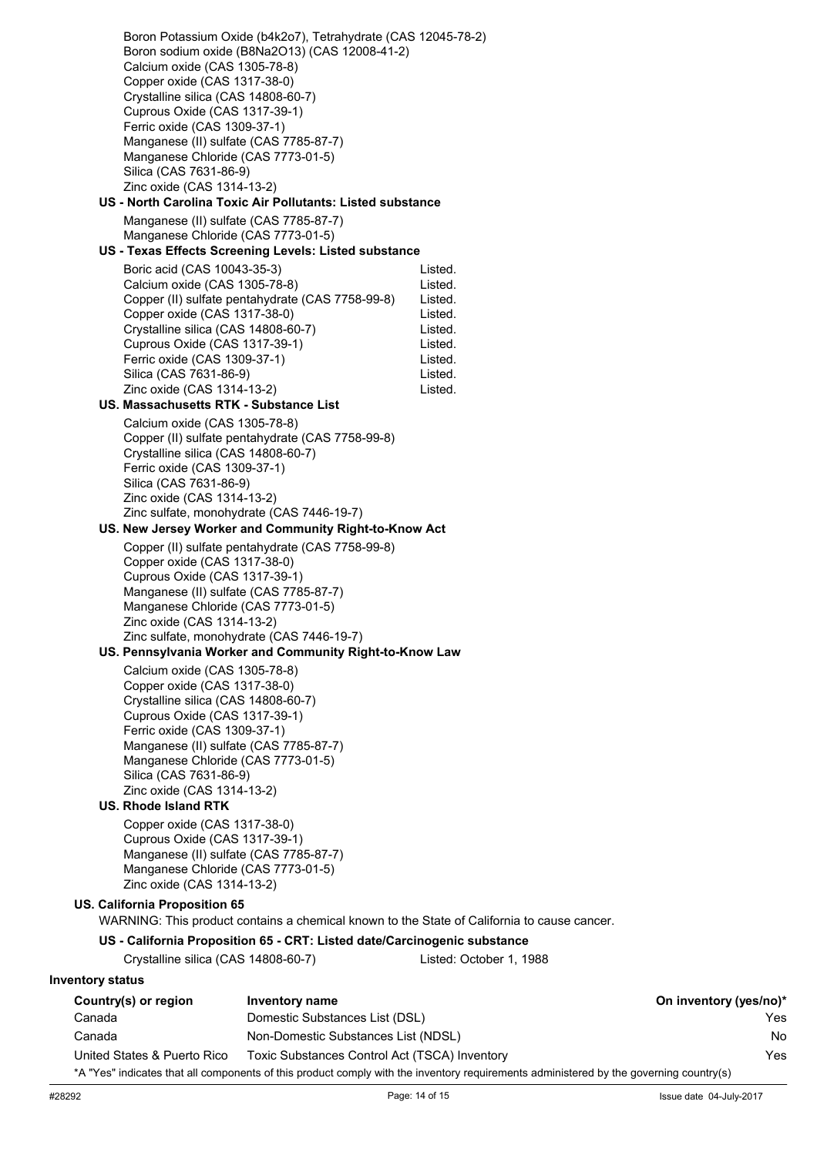Boron Potassium Oxide (b4k2o7), Tetrahydrate (CAS 12045-78-2) Boron sodium oxide (B8Na2O13) (CAS 12008-41-2) Calcium oxide (CAS 1305-78-8) Copper oxide (CAS 1317-38-0) Crystalline silica (CAS 14808-60-7) Cuprous Oxide (CAS 1317-39-1) Ferric oxide (CAS 1309-37-1) Manganese (II) sulfate (CAS 7785-87-7) Manganese Chloride (CAS 7773-01-5) Silica (CAS 7631-86-9) Zinc oxide (CAS 1314-13-2) **US - North Carolina Toxic Air Pollutants: Listed substance** Manganese (II) sulfate (CAS 7785-87-7) Manganese Chloride (CAS 7773-01-5) **US - Texas Effects Screening Levels: Listed substance** Boric acid (CAS 10043-35-3) Listed. Calcium oxide (CAS 1305-78-8) Listed. Copper (II) sulfate pentahydrate (CAS 7758-99-8) Listed. Copper oxide (CAS 1317-38-0) Listed.<br>Crystalline silica (CAS 14808-60-7) Listed Crystalline silica (CAS 14808-60-7) Listed. Cuprous Oxide (CAS 1317-39-1) Ferric oxide (CAS 1309-37-1) Listed. Silica (CAS 7631-86-9) Listed. Zinc oxide (CAS 1314-13-2) Listed. **US. Massachusetts RTK - Substance List** Calcium oxide (CAS 1305-78-8) Copper (II) sulfate pentahydrate (CAS 7758-99-8) Crystalline silica (CAS 14808-60-7) Ferric oxide (CAS 1309-37-1) Silica (CAS 7631-86-9) Zinc oxide (CAS 1314-13-2) Zinc sulfate, monohydrate (CAS 7446-19-7) **US. New Jersey Worker and Community Right-to-Know Act** Copper (II) sulfate pentahydrate (CAS 7758-99-8) Copper oxide (CAS 1317-38-0) Cuprous Oxide (CAS 1317-39-1) Manganese (II) sulfate (CAS 7785-87-7) Manganese Chloride (CAS 7773-01-5) Zinc oxide (CAS 1314-13-2) Zinc sulfate, monohydrate (CAS 7446-19-7) **US. Pennsylvania Worker and Community Right-to-Know Law** Calcium oxide (CAS 1305-78-8) Copper oxide (CAS 1317-38-0) Crystalline silica (CAS 14808-60-7) Cuprous Oxide (CAS 1317-39-1) Ferric oxide (CAS 1309-37-1) Manganese (II) sulfate (CAS 7785-87-7) Manganese Chloride (CAS 7773-01-5) Silica (CAS 7631-86-9) Zinc oxide (CAS 1314-13-2) **US. Rhode Island RTK** Copper oxide (CAS 1317-38-0) Cuprous Oxide (CAS 1317-39-1) Manganese (II) sulfate (CAS 7785-87-7) Manganese Chloride (CAS 7773-01-5) Zinc oxide (CAS 1314-13-2) **US. California Proposition 65** WARNING: This product contains a chemical known to the State of California to cause cancer. **US - California Proposition 65 - CRT: Listed date/Carcinogenic substance** Crystalline silica (CAS 14808-60-7) Listed: October 1, 1988 **Inventory status Country(s) or region Inventory name On inventory (yes/no)\*** Canada Domestic Substances List (DSL) Yes Canada Non-Domestic Substances List (NDSL) No

United States & Puerto Rico Toxic Substances Control Act (TSCA) Inventory Yes